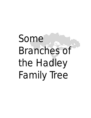# Some Branches of the Hadley Family Tree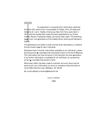**From the 1931 v**<br>**Iished by Dr. Le<br>1971, and the h<br>mother, Marion<br>pages track nine<br>Hadley.<br>The generations<br>the top of each<br>Whenever there** his publication is compiled from information obtained from the 1931 works of W. Irving Hadley of Toledo, Ohio, the data published by Dr. Lee A. Hadley of Syracuse, New York forty years later in 1971, and the handwritten notes that were assembled by my Grandmother, Marion Champney Hadley, during her later years. The following pages track nine generations of the Hadley family starting with Benjamin Hadley.

The generations are listed in order and the direct decendancy is listed at the top of each page for each individual.

Whenever there is further information available on an individual, a downpointing arrow  $(\blacktriangledown)$  precedes that individual's name in the list of offspring. The information can then be found in the listing for the next generation. If no further information is available for an individual, an up-pointing arrow  $(\triangle)$  precedes that person's name.

While every effort has been made to maintain accuracy there may be some errors. Any information on errors or omissions should be sent to me at 5481 Kemmie Lane, Mableton, GA 30126.

My e-mail address is:4csons@bellsouth.net

Larry Cronkite 1998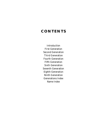### **CONTENTS**

Introduction First Generation Second Generation Third Generation Fourth Generation Fifth Generation Sixth Generation Seventh Generation Eighth Generation Ninth Generation Generations Index Name Index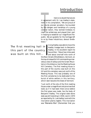### Introduction

in agreement w<br>ment in his con<br>our sturdy pior<br>by the dangers<br>colonial nation<br>clear the wilder<br>in helping to es<br>public. We are g<br>to us by these here is no doubt that we are in agreement with Dr. Lee Hadley's statement in his compilation, "We are proud of our sturdy pioneer ancestors. Surrounded by the dangers and hardships of a young colonial nation, they worked tirelessly to clear the wilderness and played their part in helping to establish our magnificent Republic. We are grateful for the heritage left to us by these industrious, devout forefathers."

### The first meeting hall in this part of the country was built on this hill...

Irving Hadley was able to trace the Hadley lineage back to Benjamin Hadley. In his excellent report he has written, "About two miles west and about one-half mile north of the Main Street of Brattleboro, Vermont, on the top of a beautiful hill commanding a marvelous view of valleys and the Green Mountains in the distance, lies the Meeting House Hill Cemetery. The first meeting house in this part of the country was built on this hill and this cemetery was just north of the Meeting House. This was probably one of the first cemeteries to be dedicated to the burial of white settlers in this territory, which later became the State of Vermont.

"Just north of the site of the first meeting house under a magnificent old pine tree that looks as if it had been there since before the first grave was made, lies the body of Benjamin Hadley. The original slate stone slab was still standing in 1930, (and in 1970 as reported by Dr. Lee Hadley) and with the inscription plainly legible. This inscription was *'Memento Mori'* (Remember that you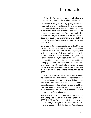### Introduction

must die). *'In Memory of Mr. Benjamin Hadley who died Mch. 24th, 1776 in the 92nd year of his age.'*

"At the foot of this grave is a large grey granite block, rough cut, and about as high as the original monument. There is set into the face of this block a bronze plate about nine by twelve inches in size upon which are raised letters which read *'Benjamin Hadley Descendent of George Hadley, born in Chelmsford, Mass. 1685 Died 1776.'* This monument was erected by a group of Hadleys from Cattaragus County, New York about 1910.

By far the most information to be found about George Hadley is in the *"Genealogical Record of the descendants of Moses Hadley and Rebecca Page together with some account of George Hadley of Ipswich, Massachusetts and his descendants"* by Judge Samuel Page Hadley of Lowell, Massachusetts. This book was published in 1887, and Judge Hadley later published eight pages of "notes and corrections" which also adds to the knowledge of George Hadley. According to Judge Hadley, George Hadley of Ipswich, Massachusetts was a native of England and came to this country before 1639.

If Benjamin Hadley was a descendent of George Hadley he must have been his grandson. Most genealogical records only name two sons of George Hadley; one of which was John who died childless in 1711 and the other, Samuel, who had a family of twelve children. However, since his youngest son born February 24, 1704, was named Benjamin it must be concluded that he was not the father of our Benjamin.

There is an entry among the Ipswich deaths which says George Hadley Senior was buried September 30, 1686. This *"Senior"* would indicate that he had a son named George. George Hadley Senior's will was admitted to probate in Suffolk County, Massachusetts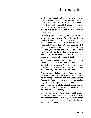### Introduction

on November 4, 1686. In this will he names his sons, John, Samuel and Joseph, but no mention is made of a son George. No further record has been found of either George or Joseph but if Benjamin Hadley was a descendent of George Hadley it must be concluded that he must have been the son of either George or Joseph Hadley.

In the early records of New England there is mention of another Hadley named Dennis Hadley. Dennis Hadley was born in England in 1650 and died in Sudbury, Massachusetts January 15, 1741 or 1742. The History of Worcester County, Massachusetts says that Benjamin Hadley was the son of Dennis Hadley. This is evidently an error as by the inscription on Benjamin Hadley's tombstone he was born between March 24, 1684 and March 24, 1685 and Dennis Hadley had a daughter Tabitha born November 2, 1684.

There is also among the early records of Middlesex County, Massachusetts the record of a deed in which Dennis Hadley referred to "John my only son" and John was born in 1690. If Dennis had any sons older than John they died before this deed was made.

A large group of Hadleys migrated from Brattleboro, Vermont between 1806 and 1812 and settled in the neighborhood of what is now Sandy Creek, Oswego County, New York. A few years later there was another large group of Hadleys with some of their neighbors that migrated from Brattleboro to Cattaraugas County, New York and settled in the neighborhood of what is now Ashford and West Valley.

Since the connection between George and Benjamin Hadley has not been conclusively proven, this record of this branch of the Hadley family will begin with the earliest known ancestor, Benjamin Hadley of Brattleboro, Vermont.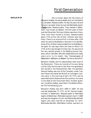#### **BENJAMIN**

**Benjamin Ha<br>or Lancaster,<br>living in Lanc<br>of Watertowr<br>town, now k<br>married life a<br>They must l** ittle is known about the life history of Benjamin Hadley. He was probably born at Chelmsford or Lancaster, Massachusetts. He was 26 years old and living in Lancaster when he married Mehitable Applin of Watertown, Massachusetts. They resided in Watertown, now known as Weston, the first years of their married life as their first two children were born there. They must have moved to Groton, Massachusetts about 1714 as the rest of their children were born there. There is no record of him in Groton after 1745 when he came to Brattleboro, Vermont in his late 80s. Some of his children had preceded him to Brattleboro. He spent his last days there and died on March 24, 1776, at the ripe old age of ninety-two. His was one of the very earliest graves in the Meeting House Cemetery which had been officially established only eight years prior to his death. See *"Genealogies of Watertown, Waltham, & Weston"* by Henry Bond M.D.

Benjamin Hadley and his descendants were loyal to the Revolution. There are records of his sons doing civilian duty and he had no less than nine grandsons who served in the Revolutionary War. His grandson Samuel Hadley was one of the Company under Captain Parker who faced the British on Lexington Common early in the morning of April 19, 1775, and he was killed a short distance from the common. His name is inscribed on the monument there. Another grandson, Jonathan Hadley, was killed in the Battle of Bunker Hill the following June.

Benjamin Hadley was born 1684 or 1685. He was married September 27, 1711, by Mr. Samuel Augier, minister in Watertown, Massachusetts to Mehitable Applin of Watertown. Mehitable was born April 7, 1688 and was the daughter of John and Bethsheba Bartlett Applin who were married on November 23, 1671. Bethsheba Bartlett, Mehitable's mother, was born on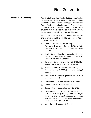### First Generation

#### **BENJAMIN (cont'd)**

April 17, 1647 and died October 8, 1692. John Applin, her father, was living in 1727 and he may not have been born in New England. John Applin was asked in April 1703 to be a school master in Groton, Massachusetts and lived for a short time at Littleton, Massachusetts. Mehitable Applin Hadley died at Groton, Massachusetts on April 13, 1745, age fifty-seven.

Benjamin and Mehitable Applin Hadley were the parents of five sons and five daughters, all born in Massachusetts. They were:

- Thomas—Born in Watertown August 11, 1712. Married in Lexington May 15, 1741, to Ruth Lawrence who was born in 1725. They had twelve children. ▼
- ▲ Sarah-Born in Watertown November 22, 1713. Married (Published on October 7th) 1739, to Ebenezer Merriam of Concord.
- ▲ Benjamin-Born in Groton July 25, 1715. Married in 1746 to Sarah Adams of Lexington.
- ▲ Mehitable-Born in Groton February 14, 1717. Married January 4, 1737, to John (or Joshua) Wheeler.
- John—Born in Groton September 28, 1719. He married Eunice —?—. ▼
- ▲ Phebe-Born in Groton September 25, 1721.
- ▲ Simon-Born in Groton March 20, 1723.
- ▲ Hanah-Born in Groton February 18, 1725.
- ▼ Ebenezer-Born in Groton on November 8, 1727, and was married June 11, 1753, to Abigail Spalding of Chelmsford, Massachusetts. She was born on August 31, 1735 and died September 6, 1813. Ebenezer died April 27, 1815.
- ▲ Ann-Born in Groton April 9, 1730.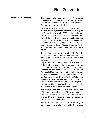First Generation

#### **BENJAMIN (cont'd)**

The preceding information was found in *"The History of Worcester County Mass."* Vol. 2 Page 325 and in Groton Vital Records and early church records of Groton as reported by Irving Hadley.

In *"The History of Worcester County"* Vol. 2 page 325, the fifth son of Benjamin and Mehitable Hadley is given as "Eleazer Born Nov. 8th 1727" and then at the bottom of the list is listed another son "Ebenezer" with no birth date or other information. The Ebenezer was added to this history list because he was known to have been of that family, even though the birth date could not be given. It says "Ebenezer" and not "probably Ebenezer" as it would have, had there been a doubt.

Ten children are recorded in Groton Vital Records, under various spellings of the name, with the same dates given as in the Worcester County History, but substituting Ebenezer for "Eleazer" given in the history. Ebenezer is shown as the son of Benjamin and Mehitable Hadley in all of the earliest church records of Groton. We therefore can accept the birth date of Ebenezer as November 8, 1727, as it is so given in Groton Vital Records and usually the vital records are accepted as authentic. We also have the Vermont Vital Records which say he died April 27, 1815, in his eighty-eighth year. The only reasonable conclusion is that this name "Eleazer" is a mistake growing out of the copying of the old long-hand records and Benjamin and Mehitable never had a son named Eleazer.

The Hadleys were farmers and pioneers in every sense of the word, producing most of their own food and clothing. They raised wool and flax from which the women of the family spun and wove the material for their winter and summer clothing.

The bread, free of preservatives, was baked in great domed-shaped stone or brick ovens. The structure was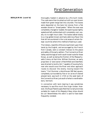#### **BENJAMIN (cont'd)**

thoroughly heated in advance by a fire built inside. The coals were then brushed out with an oven broom made from green twigs tied into a bundle. The loaves were deposited on the bare hot stones from a flat wooden shovel or "bread peeler." When the oven was completely charged or loaded, the opening was tightly sealed and left undisturbed until completely cool, usually six to eight hours later. The loaves baked slowly to a crisp golden brown and had a delicious flavor like that still encountered in the rural areas of certain foreign countries where this method of baking is used.

The Indians, resentful of the encroachment upon their lands by the English, and encouraged by the French from Canada, were a constant menace to the peace and safety of the early settlers. The Connecticut River Valley was the logical north-south travel route for these forays, as well as being the frontier of the Massachusetts Colony at that time. William Dummer, an early proprietor or land owner of Northfield and Deerfield, was directed to build a fort "capable of housing forty men who would scout the River and other approach routes to discover the enemy moving toward the towns." Fort Dummer, a blockhouse 180 feet square, completely surrounded by five or six acres of cleared plowed land, was built in 1724 on the west bank of the Connecticut River just south of what is now Brattleboro, Vermont.

In connection with land clearing it was sometimes necessary to sacrifice much fine virgin timber. However, the Royal Patents specified that no tall pine trees suitable for masts of His Majesty's Navy ships should be cut! Nevertheless this edict is said to have been frequently violated.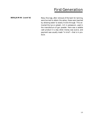### First Generation

#### **BENJAMIN (cont'd)**

Many fine logs, after removal of the bark for tanning, were burned to obtain the ashes, these were leached by allowing water to slowly trickle through. This extracted the lye or potash, rich in potassium, used in the manufacture of gun powder. Here was a salable cash product in a day when money was scarce, and payment was usually made "in kind"—that is in produce.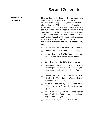**BENJAMIN THOMAS**

Thomas Hadley, the first child of Benjamin and Mehitable Applin Hadley, was born August 11, 1712. He was married on May 15, 1741, to Ruth Lawrence who was born in 1725—of Lexington, Massachusetts and settled in that town. He was active in affairs of the community and was a member of Captain Parker's Company of the Militia. They were the parents of twelve children. Four of his six sons were soldiers in the American Revolution. The oldest one, Samuel, was killed at the Battle of Lexington, on April 19, 1775. The children of Thomas and Ruth Lawrence Hadley were:

- ▲ Elizabeth-Born May 11, 1742. Died unmarried.
- ▲ Thomas-Born July 3, 1744. Died in infancy.
- ▲ Samuel-Born July 9, 1746. Revolutionary Soldier, killed at the Battle of Lexington on April 19, 1775.
- ▲ Ruth-Born March 12, 1749. Died in infancy.
- ▲ Ebenezer-Born May 6, 1751. Died in 1810. He was a Sergeant in Captain Parker's Company, Edmund Munro's Regiment, Lexington on April 19, 1775.
- ▲ Thomas-Born July 8, 1754. Died in 1784. He enlisted May 4, 1775 and became a Corporal in Captain Wood's (5th) Company.
- ▲ Benjamin-Born July 25, 1756. Enlisted May 8, 1775 and became a Sergeant in the Revolutionary War.
- ▲ Ruth-Born June 1, 1759. In 1778 she married James Fowler. In 1785 there was a second marriage to James Blodgett.
- ▲ Simon-Born July 26, 1761. Died in 1801.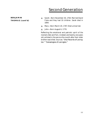### **BENJAMIN THOMAS (cont'd)**

- ▲ Sarah-Born November 26, 1764. Married David Fiske and they had 10 children. Sarah died in 1804.
- ▲ Mary-Born March 20, 1767. Died unmarried.
- John—Born August 6, 1770.  $\blacktriangle$

Reflecting the emotional and patriotic spirit of the moment, Ben and Tom, nineteen and twenty-one years old, enlisted in the service the month after their older brother was killed. Sources: *"Vital Records of Lexington." "Genealogies of Lexington."*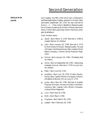**BENJAMIN JOHN**

John Hadley, the fifth child (third son) of Benjamin and Mehitable Applin Hadley, was born in Groton, Massachusetts September 28, 1719. He was married to Eunice —?—. They lived in Westford, Massachusetts for a number of years as all of their children were born there. In their later years they lived in Vermont, probably Brattleboro.

Their children were:

- ▲ Sarah-Born March 3, 1745. Married in 1769 to Joseph Warren of Littleton.
- ▲ John-Born January 20, 1746. Married in 1774 to Ruth Kemp of Groton, Massachusetts. He was a Private in the Revolutionary War, Captain Oliver Bate's Company, Colonel James Prescott's Regiment.
- ▲ Eunice-Born January 14, 1748-(Probably died an infant).
- ▲ Unice-Born on September 26, 1750-(Name was probably Eunice). Married in 1775 to Levy Farr of Littleton.
- ▲ Peter-Born June 24, 1752.
- ▲ Jonathan-Born July 19, 1754. Private, Revolutionary War, Captain Parker's Company. Killed in the Battle of Bunker Hill on June 17, 1775.
- ▲ Jonas-Born May 26, 1756. Married to Azabah Prescott of Groton. He was a Private in the Revolutionary War, Captain John Minot's Company, Colonel Dike's Regiment.
- ▲ Lucy-Born April 8, 1758.
- ▲ Ruth—Born May 4, 1760.
- ▲ Tryphena—Born March 20, 1762.
- ▲ Joseph-Born February 26, 1764.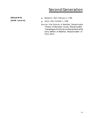**BENJAMIN JOHN (cont'd)**

- Benjamin—Born February 2, 1766.  $\blacktriangle$
- Amos—Born October 2, 1768. ▲
- Sources: Vital Records of Westfield, Massachusetts *"History of Worcester County, Massachusetts", "Genealogies of Families and Descendants of the Early Settlers of Waterton, Massachusetts"* Dr. Henry Bond.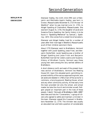### **BENJAMIN EBENEZER**

Ebenezer Hadley, the ninth child (fifth son) of Benjamin and Mehitable Applin Hadley, was born in Groton, Massachusetts November 8, 1727. He was "of Westford" when he was married June 11, 1753, to Abigail Spalding of Chelmsford, Massachussets. She was born August 31, 1735, the daughter of Jacob and Susanna Pierce Spalding. Her family history is to be found in *"Spalding Memorial"* by Samuel J. Spalding—1872. She comes from a noted line of ancestors.

Ebenezer and Abigail Hadley lived for a number of years after their marriage in Westford, Massachusetts as all of their children were born there.

About 1770 Ebenezer went to Brattleboro, Vermont together with Jacob Spalding, Jesse Frost, and Benjamin Butterfield. Jacob Spalding was a brother of Abigail Spalding and Jesse Frost and Benjamin Butterfield married her sisters Joanna and Susanna. History of Windham County, Vermont says these young men were among the very earliest settlers of Brattleboro.

A short distance north and west of the present business section of Brattleboro, Vermont lies Meeting House Hill. Upon this elevated point, permitting improved visibility of the various approaching trails, was set aside and deeded in 1768 a tract of five acres for a commons, a burying ground, Meeting House, school and any other community activity. At that early time the town provided not only the school, and school master but also the church and minister as well. Religion played an important part in the lives of these people. Cabot's *"Annuals of Brattleboro 1681–1895"* describes and lists the "Covenanters," a group of citizens who agreed to settle and maintain a minister in the town. Ebenezer signed this Covenant in Brattle– boro November 12, 1770. The minister was usually an educated man and held a position of considerable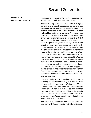### **BENJAMIN EBENEZER (cont'd)**

leadership in the community. His modest salary consisted largely of fuel, food, rent, and raiment.

There was a single church for all as separate religious denominations had not yet appeared. Sunday provided a day-long service on Meeting House Hill. They came from all directions, some on foot or horseback often riding pillion and even by ox team. There were very few if any carriages at that time. The Hadleys were always very prominent in religious activities. Cabot says that after the morning sermon there was a noon hour rest period for gossip or eating. In the winter time the women used this rest period to visit neighboring homes to replenish the hot coals in their portable footwarmers while their husbands visited the bar room of the nearby tavern which was open even Sundays. The afternoon sermon was scheduled to last two hours. The laws relative to desecration of the "Lord's day" were very strict and the penalties severe. Those guilty of "rude, profane or clamorous discourse, shouting, hollering, screaming, running, dancing or jumping were to be fined forty shillings and whipped on the naked back not to exceed ten stripes nor less than five." These penalties were probably seldom invoked but the fact remains that these people took their religion quite seriously.

Ebenezer Hadley was in Brattleboro by 1770 but he evidently did not take his family with him at first as his youngest child was born in Westford in 1771. He probably went over to Vermont with his brothers-inlaw to establish homes in this wild country and then they moved their families later. Whether he brought all of his children when he moved to Brattleboro we are unable to say. We do know however that all of his sons lived there in later years.

The town of Dummerston, Vermont on the north boundary of Brattleboro was being divided by the own-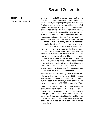### **BENJAMIN EBENEZER (cont'd)**

ers into 148 lots of 100 acres each. Every settler paid five shillings recording fee and agreed to clear and fence "4 acres, fit for plough or sythe, also erect and furnish a dwelling house thereon not less than 20 feet square." Also the proximity of Fort Dummer offered some protection against bands of marauding Indians, although occasionally settlers like John Sargent and Frank Moore were killed and scalped while their families were carried away prisoners. There is a traditional story handed down through the generations concerning an Indian raid on a Hadley farm in Vermont back in colonial days. One of the Hadley farmers was plowing out corn, in the primitive fashion of those days he holding the plow and a young girl riding and guiding the horse between the corn rows. Suddenly they were surprised by a band of Indians so close upon them that he had no time even to save his daughter. Jumping over a nearby stone fence to escape, he caught his foot and fell, and as he did so, Indian arrows whizzed just over his head. As he fell he heard the blow of the tomahawk on the head of the child who was killed and carried away by the savages. This gives some idea of the rugged life faced by our forefathers.

Ebenezer was reputed to be a great wrestler and athlete. Later after moving to Vermont in 1771 he served as a Sergeant in Captain Edmund Munro's Company, 15th Massachusetts Battalion, Revolutionary War for three years from March 10, 1777, to March 10, 1780.

After 1771 Ebenezer lived in Dummerston near his sons until his death April 27, 1815. Abigail had predeceased him on September 6, 1813, in her seventyeighth year. They are buried in the Locust Ridge Cemetery a short distance north of Brattleboro. The edges of their slate stone grave markers are covered with sheet lead for protection. Their son Jacob is buried beside them.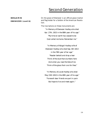### **BENJAMIN EBENEZER (cont'd)**

On the grave of Ebenezer is an official grave marker and flag holder for a Soldier of the American Revolution.

The inscriptions on these monuments are: *"In Memory of Ebenezer Hadley who died*

*Apr. 27th, 1815 in the 88th year of his age." "My time on earth has ceased to be God called me home. Remember me."*

*"In Memory of Abigail Hadley wife of Ebenezer Hadley who died Sep. 6th 1813 in the 78th year of her age." "Reader behold and drop a tear Think of the dust that slumbers here And when you read the fate of me Think of the glass that runs for thee."*

*"In Memory of Jacob Hadley who died May 15th 1810 in the 48th year of his age." "Farewell dear friends we part in pain But hope to live and meet again."*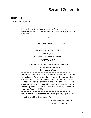**BENJAMIN**

**EBENEZER (cont'd)**

Relative to the Revolutionary Record of Ebenezer Hadley is copied below a statement that was received from the War Department at Washington.

————0————

WAR DEPARTMENT ORD-fim

The Adjutant General's Office

Washington

Statement of the Military Service of

#### EBENEZER HADLEY

Sergeant, Captain Edmund Munro's Company,

15th Massachusetts Battalion, Revolutionary War.

— — — — — — — — — — — — — — — — — —

The official records show that Ebenezer Hadley served in the Revolutionary War as private in a company designated at various times as Captain Edmund Munro's Company and Captain Phineas Bowman's Company in the 15th Battalion of Massachusetts Bay Forces commanded by Colonel Timothy Bigelow. He was appointed March 10, 1777 for three years, and was discharged March 10, 1780.

— — — — — — — — — — — — — — — — — — Official statement furnished to Mrs. W. Irving Hadley, April 24, 1931.

By authority of the Secretary of War.

C. H. Bridges,Major General, The Adjutant General.

2.9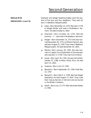### **BENJAMIN EBENEZER (cont'd)**

Ebenezer and Abigail Spalding Hadley were the parents of five sons and four daughters. They were all born in Westford, Massachusetts:

- Jesse—Born November 13, 1753. Married in 1778 to Abigail Wilder and lived in Brattleboro, Vermont. He died October 8, 1834. **マ**
- ▼ Ebenezer—Born October 20, 1755. Married Jemima —?— and lived in Brattleboro, Vermont.
- ▲ Abigail—Born December 14, 1757. She was married December 26, 1775, to Willard Fletcher who was born August 21, 1749. They lived in Westford, Massachusetts. He died November 30, 1825.
- ▲ Martha-Born January 29, 1760. She was married to Captain Ezra Butterfield of Dummerston who was born in 1749. They had nine children.
- Jacob—Born April 16, 1762. He was married November 27, 1788, to Molly (Polly) Rice. He died April 15, 1810. ▼
- ▲ Susanna-Born June 13, 1764.
- ▲ Benjamin-Born September 25, 1766. Died May 21, 1767.
- Benjamin—Born March 3, 1769. Married Abigail Spaulding. He died August 17, 1833. They lived their lives as farmers in Vermont and are buried in the Wilder Cemetery. ▼
- ▲ Sarah-Born July 17, 1771. Married James Healey in 1788.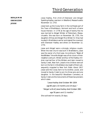**BENJAMIN EBENEZER JESSE**

Jesse Hadley, first child of Ebenezer and Abigail Spalding Hadley, was born in Westford, Massachusetts November 13, 1753.

Jesse took up the Covey farm in the northeast part of the Town of Brattleboro, Vermont and built a frame house thereon. In 1778 at the age of twenty-five he was married to Abigail Wilder of Petersham, Massachusetts. She was born on November 28, 1755, the daughter of Elias and Abigail Rice Wilder Sr. Elias had located in Brattleboro earlier and signed the covenant with Ebenezer Hadley and others on November 12, 1770.

Jesse and Abigail were a strongly religious couple. When the new church was built in Brattleboro, Jesse was the owner of a front pew. According to *"Book of the Wilders"* the wife Abigail was a first cousin of their neighbor Joshua A. Wilder and four of the Hadley children married four of the Wilders and later moved to Sandy Creek, New York. Jesse's nine children were all born on the farm in Brattleboro but eight of them subsequently migrated to New York State. About 1817 Jesse sold the Covey farm to his brother, Jacob, and moved to Sandy Creek to join his three sons and one daughter. In the beautiful Woodlawn Cemetery at Sandy Creek are the monuments of these two pioneers which state:

*"Jesse Hadley died October 8th 1834 age 80 years 10 months and 24 days." "Abigail wife of Jesse Hadley died October 28th age 78 years and 11 months."* She outlived him exactly 20 days.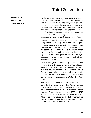**BENJAMIN EBENEZER JESSE (cont'd)** In the agrarian economy of that time, and subsequently, it was necessary for the boys to remain on the farm until they were twenty-one years of age. Jesse had married at twenty-five and six of his sons were between twenty-two and twenty-five when they in turn, married. It was generally accepted that the product of the labor of a minor, less his 'keep,' should repay the parent for his upbringing to adulthood. Girls were usually free to marry at eighteen or nineteen.

Besides church services the principal community gatherings were: The Military Muster, husking and quilting bees, house warmings, and barn raisings. It was reported that for the new church in Brattleboro, which replaced the old one on Meeting House Hill, the church raising cost for rum and sugar was half that for the "glass and nales." These pioneers were a hardy, vigorous people who worked hard to feed and clothe themselves from the soil.

Jesse and Abigail Hadley spent a good share of their married lives in Brattleboro, Vermont. Their children were all born there. They lived the life of pioneers, met its difficulties and faced its dangers and raised a family of nine children all of whom lived to grow to maturity and be married and all but one were in their turn pioneers in various parts of Western New York State.

Three sons and a daughter of Jesse Hadley married three daughters and a son of Joshua Wilder who lived in the same neighborhood. These four couples and other neighbors and relatives all migrated to Western New York State, in the years between 1806 and 1812 and about this time (tradition says 1817) Jesse and Abigail Hadley went to Sandy Creek, New York where their three sons and one daughter lived and they also lived there for the rest of their lives.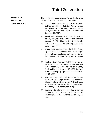**BENJAMIN EBENEZER JESSE (cont'd)**

The children of Jesse and Abigail Wilder Hadley were all born in Brattleboro, Vermont. They were:

- Samuel—Born September 17, 1779. He was married February 26, 1801, to Betsey Wilder who was born March 28, 1783. They moved to Sandy Creek, New York. He died August 7, 1859. She died November 28, 1825. ▼
- Jesse Jr.—Born December 10, 1781. Married on May 29, 1803, to Abigail Fletcher who was born January 17, 1781. They lived all their lives in Brattleboro, Vermont. He died August 3, 1840. Abigail died in 1860. ▼
- Simon—Born March 4, 1784. Married on February 16, 1808 to Nabby Wilder who was born April 14, 1787. They moved to Sandy Creek and Simon died February 25, 1844. Nabby died November 21, 1869. ▼
- Stephen—Born February 7, 1786. Married on December 5, 1811, to Clarissa Wilder who was born October 14, 1789. They moved to Sandy Creek and he died December 18, 1870. She lived to be over ninety-eight years old and died October 28, 1887. ▼
- ▲ Abigail-Born July 10, 1788. Married on December 3, 1807, to Joseph Bemis. They moved to Ellisbury, Jefferson County, New York and raised ten children. Abigail died in 1865 but Joseph lived to be nearly one hundred years of age.
- Ebenezer—Born June 18, 1790. He was married October 6, 1814, to Sibyl Bemis. He died in Ashford April 16, 1871 and she died February 17, 1864. ▼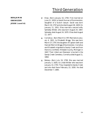**BENJAMIN EBENEZER JESSE (cont'd)**

- Elias—Born January 10, 1794. First married on June 21, 1818, to Sarah Duncan of Dummerston, daughter of a Scotch lawyer. Sarah was born March 19, 1797 and she died August 28, 1829. On January 11, 1831, Elias married a second wife, Sphedey Wilder, who was born August 24, 1807. Sphedey died August 24, 1870. Elias died August 12, 1877. ▼
- ▲ Cornelius-Born March 9, 1797. Married on January 4, 1821, to Elizabeth Briggs. She was born March 27, 1797, the daughter of Captain Seth and Hannah Merrick Briggs of Dummerston. Cornelius and Elizabeth migrated to Sandy Creek and from there to Litchfield, Hillsdale County, Michigan in 1847. Their infant son Ebenezer is buried in the Sandy Creek Cemetery. Cornelius died August 11, 1864.
- ▲ Betsey-Born July 19, 1799. She was married January 3, 1820, to Lindal Wilder who was born January 14, 1793. They migrated to Sandy Creek and she died there February 23, 1830. He died December 7, 1885.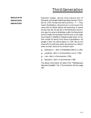**BENJAMIN EBENEZER EBENEZER**

Ebenezer Hadley, second child (second son) of Ebenezer and Abigail Spalding Hadley was born October 20, 1755. He was married to Jemima —?—. They lived in Brattleboro, Vermont but it is not known if he came with his father before the Revolution or where he was married. He served in the Revolution and history says he came to Brattleboro after the Revolution but this might not have been the first time, or he might have stayed in Westford, Massachusetts when his father moved his family from there to Brattleboro. He bought a farm of Joshua Bemis in 1787. We do not know who his wife was, when she was born or died or when he died. Some of his children were:

- ▲ Ebenezer Jr. Born in Brattleboro March 2, 1782.
- ▲ Jonathan—Born in Dummerston June 3, 1784.
- ▲ Levi-Born in Dummerston 1786.
- Benjamin—Born in Dummerston 1788. ▲

The above information all taken from *"Hemenway's Vermont Gazetter"* Vol. 5 Dummerston Section page 163.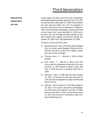**BENJAMIN EBENEZER JACOB**

Jacob Hadley, the fifth child (third son) of Ebenezer and Abigail Spalding Hadley, was born April 16, 1762. He was married on November 27, 1788, to Polly (Molly) Rice who was born March 15, 1771, the daughter of Ephraim and Joanne Rice of Petersham, Massachusetts. They remained in Brattleboro, Vermont and lived on the Covey Farm. Jacob died May 15, 1810 and is buried in the Locust Ridge Cemetery beside his parents. Widow Polly Hadley married John Wilder December 30, 1824. Polly died September 20, 1839.

Children of Jacob and Polly were:

- Reverend Jacob—Born 1787. Married first Abigail Rice, his cousin, grand daughter of Ephraim Rice. Second married to Lavina Rice Hadley, widow, who was a sister of Abigail. ▼
- ▲ Thomas-Born-?- Married in 1823 to Mary Sargent.
- ▲ Polly-Born-?- Married in 1815 to her first cousin Able Rice (grandson of Ephraim Rice) who was born in 1792. Moved to Sandy Creek, New York in 1819 and then to Ashford, New York in 1839.
- Benjamin—Born in 1796. Was married on August 11, 1817, to Miranda Duncan who was born in 1797. She was the daughter of Joseph and Miranda Taylor Duncan. ▼
- Ephraim—Born October 23, 1797. Married March 14, 1821, to his cousin Lavina Rice (granddaughter of Ephraim) who was born January 17, 1800. Ephraim died May 4, 1834. Lavina died January 10, 1877 and is buried in the Sandy Creek Cemetery beside Ephraim. ▼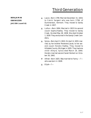**BENJAMIN EBENEZER JACOB (cont'd)**

- ▲ Laura-Born 1799. Married December 15, 1819, to Calvin Sargent who was born 1796, of Dummerston, Vermont. They moved to Sandy Creek in 1827.
- ▲ Luthur-Born 1804. Married in 1823 his second cousin Sophia Hadley. They moved to Sandy Creek. He died May 28, 1838. She died October 1, 1839. They are buried in the Sandy Creek Cemetery.
- ▲ Sylvia-Born April 3, 1810. On April 4, 1833, married, by her brother Reverend Jacob, to her second cousin Horatio Hadley. They moved to Hillsdale County, Michigan in 1835. They had one child—Almyra. Sylvia died March 19, 1840. Horatio married second Sarah Bullard on October 26, 1842.
- Alfred—Born 1825. Was married to Fanny —? who was born in 1828. ▼
- ▲ Elijah-?-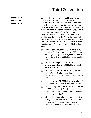**BENJAMIN EBENEZER BENJAMIN** Benjamin Hadley, the eighth child (the fifth son) of Ebenezer and Abigail Spalding Hadley, was born in Westford, Massachusetts March 3, 1769. When he was about two years old he was brought to Brattleboro, Vermont by his parents and lived in that area as a farmer all of his life. He married Abigail Spaulding of Brattleboro and bought a farm of Wilder Rice in 1791. Abigail was born in 1773 and died in 1842. They lived on this rocky farm near the Wilder Homestead all of their lives and are buried with at least seven of their immediate family in the Wilder burial plot with its surrounding wall of rough field stones. Their children were:

- Rufus—Born February 9, 1797. Married in 1824 to Joanna Bemis who was born in 1797. She was the daughter of Joseph and Jemima Stoddard Bemis. Rufus died in 1865. Joanna had died in 1840. ▼
- ▲ Lucinda-Born April 21, 1798. Married to Daniel Attridge. Lucinda died in 1859. She is buried in Wilder Cemetery.
- ▲ Benjamin Jr.-Born March 3, 1800. Married in 1828 to Betsey Bemis. She was born in 1803 and died in 1833. She was the daughter of Joshua Bemis.
- ▲ Sybil-Born July 31, 1802. Died November 27, 1827, unmarried. Buried in the Wilder Cemetery.
- ▲ Alvira (Elvira)-Born January 14, 1807. Married in 1828 to William B. Barrett who was born in 1806. They moved to Pennsylvania. He died in 1882. She died in 1874.
- Wilson—Born September 10, 1809. Married Olive Bryant of Dummerston who was born in 1824 and died in 1912. Wilson died of fever in 1889. They are both buried in the Wilder Cemetery. ▼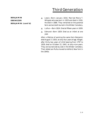**BENJAMIN EBENEZER BENJAMIN (cont'd)**

- ▲ Lewis-Born January 1816. Married Maria T. Whipple who was born in 1833 and died in 1916. He died in 1886. They remained on the parental farm and are both buried in the Wilder Cemetery.
- ▲ Luthur-Born 1824. Died at fifteen years in 1839.
- ▲ Edmund-Born 1829. Died as an infant at one year.

After a lifetime of working the same farm Benjamin died August 17, 1833, at sixty-four years of age. Abigail, after thirty-two years of child bearing from 1797 to 1829, died on October 22, 1842, at sixty-nine years. They are buried side by side in the Wilder Cemetery. Their eldest son Rufus moved to Ashford, New York in the 1840s.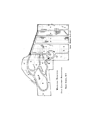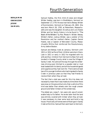**BENJAMIN EBENEZER JESSE SAMUEL**

Samuel Hadley, the first child of Jesse and Abigail Wilder Hadley, was born in Brattleboro, Vermont on September 17, 1779. He was married to Betsey Wilder of Dummerston, Vermont on February 26, 1801. She was born March 28, 1783, at Petersham, Massachusetts and was the daughter of Joshua and Lois Hawes Wilder and her family history is to be found in *"The Book of the Wilders"* by Rev. Moses H. Wilder. Betsey Wilder's father, Joshua Wilder, was a soldier of the Revolution and her mother's father, Captain Daniel Hawes, was a Captain of Worcester County, Massachusetts Militia that reinforced the Revolutionary Army before Boston.

Samuel and Betsey lived at Jamaica, Vermont until 1811 or 1812 as five of their children were born there. Late in 1811 or early in 1812 he migrated with his wife and four children from Vermont to New York and located in Oswego County what is now the Village of Sandy Creek. He came all the way through the wilderness driving oxen hitched to a wooden sled or mud boat loaded with his family and all the household goods and supplies as they had room for. There were at least two of his younger brothers who had migrated to Sandy Creek in previous years so that they had friends to receive them when they arrived.

The fact that a sled was used for this trip does not necessarily mean that it was made at a time when there was snow on the ground but only that a vehicle of this kind was better than wheels over the rough uneven ground and fallen timbers of the wilderness.

The eldest son, Jesse F., ten years old, was of considerable help to his father. He wrote later that the land was entirely covered with timber when they arrived. It was necessary to clear some land and build a log house. Practically all homes were of that type in Sandy Creek at the time. Samuel then went back to Vermont,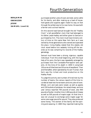**BENJAMIN EBENEZER JESSE SAMUEL (cont'd)** purchased another yoke of oxen and sled, some cattle for his family, and after making up a load of household goods and supplies again made his way on foot through the wilderness to his new home. He was both a farmer and a school teacher.

On this second load Samuel brought the old "Hadley Clock" a tall grandfather clock that had belonged to his father Jesse Hadley and either given to Samuel or purchased by him. The clock must have ticked a century of time on this same New York farm as it was owned by three generations who owned and operated the place. Irving Hadley stated that this stately old clock stood before him sedately ticking off the seconds as he was compiling his records of the Hadley genealogy.

Samuel must have been a strong, vigorous, capable individual. From this small beginning, with the loyal help of his sons, the farm was repeatedly enlarged by purchases from the Constable-Pierrepoint land patents. At the time of his death in 1859 it comprised 150 acres of tilled land and 50 acres of woodland. Then and thereafter, when operated by his son Truman, that farm was the richest and most productive on the Hadley Road.

To judge the activity and number of hired men by the number of teams, the census reports of the time recorded at least two horse teams and one yoke of oxen. Wheat, corn and oats were raised, as well as apples and 150 bushels of potatoes. He raised sheep, and one year census reported 700 pounds of wool, also 900 pounds of butter. Another time 1,000 pounds of cheese as well as 500 pounds of maple sugar. At that time it was not unusual to exchange some maple sugar for some cane sugar pound for pound. They also produced some honey. The women of the family did the spinning and weaving. In 1865 they reported making the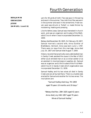### **BENJAMIN EBENEZER JESSE SAMUEL (cont'd)**

yarn for 40 yards of cloth. Flax was spun in the spring and wool in the summer. Tow cloth from flax was worn in the summer and wool in the wintertime. Fresh woven wool was shrunk or 'fulled' i.e. made thicker by moistening, heating and pressing.

Like his father Jesse, Samuel was interested in church work, and was an organizer and trustee of the Methodist Church when it was incorporated December 13, 1830.

Betsey died November 28, 1825. On February 19, 1827, Samuel married a second wife, Anna Dunkler of Brattleboro, Vermont. Anna was born June 1, 1787. There were no issue from this marriage. Anna died July 24, 1857 and Samuel died August 7, 1859.

History records that practically every able bodied man in Sandy Creek assisted the cause in the War of 1812 either as an enlisted man or as a civilian soldier or as an assistant in moving troops or supplies, etc. Samuel was an organizer and a first trustee of the First Methodist Church in Sandy Creek which organization was incorporated December 13, 1830.

Samuel Hadley and his two wives all died in Sandy Creek and are all buried there. There is a marble slab erected for Samuel and another for his two wives. The inscriptions are:

> *"Samuel Hadley died Aug. 7th 1859 aged 79 years 10 months and 20 days."*

*"Betsey died Nov. 28th 1825 aged 42 years Anna died July 24th 1857 aged 70 years Wives of Samuel Hadley."*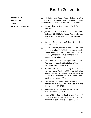### **BENJAMIN EBENEZER JESSE SAMUEL (cont'd)**

Samuel Hadley and Betsey Wilder Hadley were the parents of nine sons and three daughters. Six were born in Vermont and six in New York. They were:

- Samuel—Born in Dummerston, April 19, 1801. Died May 1, 1801. ▲
- Jesse F.—Born in Jamaica, June 22, 1802. Married April 16, 1829, to Fannie Adams who was born in 1800. She died in 1881. He died April 9, 1882. ▼
- ▲ Stephen-Born in Jamaica, October 3, 1803. Died October 5, 1803.
- ▲ Sophia-Born in Jamaica, March 14, 1805. Was married October 12, 1823, to her second cousin Luther Hadley who was born in 1804. They had two sons, Alfred and Samuel. Luther died in 1838. Sophia died October 1, 1839.
- ▲ Eliza-Born in Jamaica on September 24, 1807. Was married November 25, 1928, to William Severance and died June 14, 1878.
- ▼ Horatio-Born in Jamaica, July 6, 1810. Was married first on April 4, 1833, to Sylvia Hadley (his second cousin). Second marriage on October 26, 1842, to Sarah Bullard of Osseo, Michigan. He died January 27, 1893.
- ▲ Laura-Born in Sandy Creek, March 1, 1812. Married March 1, 1832, to Alfred Hadley. Laura died December 16, 1871.
- ▲ John-Born in Sandy Creek, September 25, 1813. Died September 18, 1814.
- Lindal Wilder—Born in Sandy Creek, March 27, 1816. Was married on September 10, 1840, to Hannah D. Weed. Lindal died February 20, 1858. ▼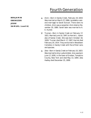**BENJAMIN**

**EBENEZER JESSE SAMUEL (cont'd)**

- ▲ Alvin-Born in Sandy Creek, February 19, 1819. Was married on March 27, 1866, (probably a second marriage) to Sarah Duncan. There were no children. Alvin was a carpenter. Alvin died on November 20, 1880. Sarah later was married to A. E. Hunter.
- Truman—Born in Sandy Creek on February 17, 1821. Married June 10, 1847, to Harriet L. Upton also of Sandy Creek. She was born October 18, 1828. Truman died March 17, 1907. Harriet died February 20, 1914. They are buried in Woodlawn Cemetery in Sandy Creek with five of their sons and spouses. ▼
- ▲ Zela-Born in Sandy Creek on February 10, 1823. Was married to Amy Lydia Ambler. Amy was born June 17, 1830, in the town of Grotten, Tompkins County, New York and died May 13, 1894. Zela Hadley died December 25, 1899.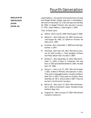**BENJAMIN EBENEZER JESSE JESSE JR.**

Jesse Hadley Jr., the second child (second son) of Jesse and Abigail Wilder Hadley, was born in Brattleboro, Vermont on December 10, 1781 and was married May 29, 1803, to Abigail Fletcher who was born January 17, 1781. Jesse Hadley Jr. died August 3, 1840.

Their children were:

- ▲ Zelona-Born June 25, 1804. Died August 3, 1840.
- Nelson H.—Born February 16, 1807. He was married August 30, 1841, to Catherine Thomas. He died July 6, 1867. ▼
- ▲ Amanda—Born December 7, 1809 and died September 3, 1847.
- Hannibal—Born April 20, 1812. Married on January 24, 1837, to Mary L. Field, daughter of David and Patty Wood Field. He died in 1884. ▼
- William F.—Born November 12, 1814. Married October 11, 1843, to Mary D. Carpenter. She was born in 1822 and died November 6, 1863. He died April 25, 1881. ▼
- ▲ Alonzo F. Born July 27, 1817. Married October 7, 1851, to Mary P. Perham, who was born in 1821. They were Congregationalists, moved to Ashford, New York in 1843. There were no children. Mary died May 30, 1871. Alonzo died in 1897. They are buried in the Riceville Cemetery.
- Marion N.—Born April 27, 1824. Married November 4, 1849, to Ambrose R. Upson. Residence East Ashford, New York. ▲
- Augustus A.—Born January 27, 1830. Married and ▲moved to California.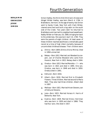**BENJAMIN EBENEZER JESSE SIMON**

Simon Hadley, the third child (third son) of Jesse and Abigail Wilder Hadley, was born March 4, 1784, in Brattleboro, Vermont. At the age of twenty-two Simon went to Sandy Creek, New York with Clark Wilder, cleared some land and built a log cabin on the south side of the Creek. Two years later he returned to Brattleboro and married his neighborhood sweetheart, Nabby Wilder on February 16, 1808, bringing her back to the wilderness. She was born April 14, 1784. They were the parents of eight children. At least seven of these children reached adulthood; a remarkably good record at a time of high infant mortality because of uncontrolled childhood disease. Their children were:

- ▲ Almira-Born 1809. (Elmira-Elvira-Minira). Died in 1894 unmarried.
- ▲ Betsey—Born 1812. Married Levi Woodard (a cooper), son of Charles Woodard who came from Hoosick, New York in 1822. Betsey died in 1844.
- ▲ Orestus-Born 1813. Married Marietta -?- who was born in 1821 and died in 1895. One son, Orestus, was born in 1848 and died in 1850. Orestus died in 1891.
- ▲ Edmund-Born 1816.
- Albert—Born 1818. Married first to Elizabeth Flowers. Three children. Married second to Maria Wait. They also had three children. Albert died in 1897. ▼
- ▲ Mellissa-Born 1821. Married Hiram Stevens, son of Edmund Stevens.
- ▲ Jane-Born 1823. Married Horace H. Harris of Belleville, New York.
- ▲ Evalina-Born 1829. Married Emory Herriman who was born in 1830 and died in 1866. They had four sons. She died in 1927.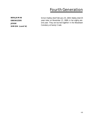**BENJAMIN EBENEZER JESSE SIMON (cont'd)** Simon Hadley died February 25, 1844. Nabby died 25 years later on November 21, 1869, in her eighty-second year. They are buried together in the Woodlawn Cemetery at Sandy Creek.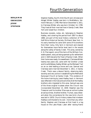**BENJAMIN EBENEZER JESSE STEPHEN**

Stephen Hadley, fourth child (fourth son) of Jesse and Abigail Wilder Hadley was born in Brattleboro, Vermont February 7, 1786. Married on December 5, 1811, to Clairessa Wilder who was born October 14, 1789. They lived all their married lives in Sandy Creek, New York and raised four children.

Business receipts, notes, etc. belonging to Stephen Hadley, and covering the period from 1807 to about 1860, are part of the local history collection of The Half-Shire Historical Society, Richland, New York. In his early twenties he came with some of his brothers from their rocky, hilly farm in Vermont and cleared for themselves more fertile level land in the woods along the valley of Sandy Creek. This area, owned by H. B. Pierrepont, one of the heirs of the William Constable patent, was just being opened up for settlement and in 1825 became the Town of Sandy Creek. When their home was ready, his sweetheart, Clairessa Wilder twenty-two years old, came with her brother Lindal and his wife Betsey Hadley Wilder up the Mohawk Trail on an ox sled leading a horse and cow. Samuel and Clairessa were married December 5, 1811, in Sandy Creek. Theirs was a devout family, observing daily worship and very active in establishing the Methodist Episcopal Church at Sandy Creek. This evidence of the home training by Jesse Hadley back in Vermont was reflected in the lives and activities of all the Hadley brothers who migrated to this area. Samuel was one of the three original trustees when the Church was incorporated December 13, 1830. Stephen was the Treasurer and his brother Elias was an active trustee at various times. Another brother, Truman, was a Steward when the cornerstone for the new brick church was laid in 1878. Church history states that nineteen Hadleys contributed to its cost—more than any other family. Stephen and Clairessa at first lived in a log house on the Lake Road. Later after raising frame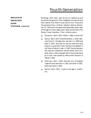#### **BENJAMIN EBENEZER JESSE STEPHEN (cont'd)**

buildings, their barn was struck by lightening and burned to the ground. Their neighbors turned out and soon rebuilt it for them in just a short time. They were the parents of four children. Stephen died on December 10, 1870 and Clairessa died seventeen years later at the age of ninety-eight years. Both are buried in the Sandy Creek Cemetery. Their children were:

- Sylvanius—Born 1812. Died in 1882 unmarried. ▲
- ▲ Sylvia-Born 1817. Died November 1, 1876. Married Oscar F. Atridge who was born in 1809 and died in 1870. She was his second wife and they lived on a small farm near the Kent homestead in the Town of Sandy Creek. In 1847, Sylvia had spun the wool for a beautiful red and white Tyler Coverlet, which, with a sampler which Sylvia had done as a child, was owned by Marie Kent Parsons of Sandy Creek.
- Sherman—Born 1819. Married Ann Elizabeth Ingersoll who was born in 1821 and died in 1901. Sherman died in 1907. ▼
- ▲ Daniel-Born 1821. Lived to old age in California.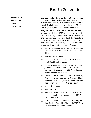**BENJAMIN EBENEZER JESSE EBENEZER**

Ebenezer Hadley, the sixth child (fifth son) of Jesse and Abigail Wilder Hadley, was born June 18, 1790. Married on October 6, 1814, to Sibyl Bemis, sister of Joseph Bemis, Jr. She was born on November 26, 1789, the daughter of Joseph and Jemima Stoddard Bemis.

They lived on the Jesse Hadley farm in Brattleboro, Vermont until about 1842 when they migrated to Ashford, Cattaragus County, New York, with five sons and one daughter. There they built the house later occupied by Edwin S. Hadley. Sybil died February 17, 1864. Ebenezer died April 16, 1871. Their nine children were all born in Dummerston, Vermont.

- George Lewis—Born—?—. Married first on November 26, 1839, to Sarah A. Wellman of Yorkshire. ▼
- ▲ Adaline L.—died young.
- ▼ Oscar W. also (William O.)—Born 1818. Married in 1840 to Elvira Davenport.
- ▼ Cornelius M.-Born 1819. Married in 1846 to Jerusha Chandler. They were first cousins. Jerusha died January 29, 1868. Cornelius married second Levinia S. —?—.
- ▼ Ebenezer Bemis-Born 1822 in Dummerston, Vermont. He was married to Miranda Hills of Brookline, Vermont on January 2, 1848. Ebenezer died September 28, 1888. Miranda died in 1905.
- ▲ Selma—Died young
- ▲ Henry-No record
- Horace H.—Born 1829. Married to Sarah W. Thomas of Hinsdale, New Hampshire in 1862. She was born in 1830. ▼
- ▲ Lestina S.-Born 1832. Married in 1874 to J. Andrew Studley of Yorkshire. She died in 1873. They are buried in the Riceville Cemetery.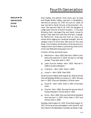**BENJAMIN EBENEZER JESSE ELIAS**

Elias Hadley, the seventh child (sixth son) of Jesse and Abigail Wilder Hadley, was born in Brattleboro, Vermont on January 10, 1794. On June 21, 1818, he was married to Sarah Duncan of Dummerston, Vermont. She was born March 19, 1797, the daughter of Judge Jason Duncan of Scotch ancestry. In the year following their marriage Elias and Sarah moved to Sandy Creek, New York with their first born, a daughter Martha Ann. Elias was frail from an injury sustained while logging but remained energetic and developed a farm of more than 260 acres on the Lake Road. Like his father and brothers, Elias was active in religious work and tireless in promoting construction of the new Methodist Episcopal Church.

Children of Elias and Sarah were:

- Martha Ann—Born 1818. Married in 1845 to John Davis who was born in 1816. He was a a carriage builder. They both died in 1907. ▲
- ▼ Jason Duncan Hadley-Born 1820. Married in 1846 to Eudora Woodard.
- ▲ Charles R.-Born 1823. Died in 1828.
- Jonas S.—Born 1828. Died 1830. ▲

Sarah Duncan Hadley died August 28, 1829 and Elias married Sphedey Wilder on January 11, 1831. She was born in 1807. Elias and Sphedey's children were:

- Sarah M.—Born 1833. Died in 1847 at fourteen years. ▲
- ▲ Precilla-Born 1838. She was the second wife of Sidney Woodard. Precilla died in 1902.
- ▲ Emily-Born 1840. She married Sidney Woodard who was born in 1837. Emily died in 1873 and Sidney died in 1894.

Sphedey died August 24, 1870. Elias died August 12, 1877. All three are buried together with Sarah M. and two infants in the Woodlawn Cemetery at Sandy Creek.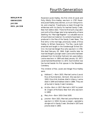**BENJAMIN EBENEZER JACOB REV. JACOB** Reverend Jacob Hadley, the first child of Jacob and Polly (Molly) Rice Hadley, was born in 1787. Reverend Jacob Hadley was a farmer, a circuit-riding minister, and a teacher. Traveling by ox team through the wilderness with his family he reached Sandy Creek, New York before 1822. There he first built a log cabin just north of the village, later to be replaced by a frame dwelling. His "Marriage Register" is a valuable source of local historical material. Its contents have been reproduced in the files of the Sandy Creek News. The first entry is the marriage, previously noted, of Eliza Hadley to Willam Severance. The Rev. Jacob both preached and taught in the Goodenough School District. He married Abigail Rice who was born in 1790. She died February 20, 1844. Eight months later he married Abigail's younger sister Lavina who had been widowed from his brother Ephraim ten years before. Lavina was born in 1800 and died January 10, 1877. Jacob had died November 13, 1872. Each brother now lies buried beside his first spouse in the Woodlawn Cemetery.

The children of Rev. Jacob and Abigail Rice Hadley were:

- ▲ Addison C. Born 1815. Married Lavina (Laura) Rice of Dummerston, Vermont. She was born in 1820. One child, Andrew, died in infancy. Lavina died in 1844 and Addison died in 1886. They are all buried in Sandy Creek Cemetery.
- ▲ Arvilla-Born in 1817. Married in 1837 to Josiah W. Chapin of Richland, New York who was born in 1809.
- ▲ Mary Ann-Born 1819. Died 1830.
- ▲ Jerome-Born 1821. Married Lavina Palmer who was born in 1818. He was a cooper—operated a shingle mill in Sandy Creek. She died in 1873 and Jerome died in 1893.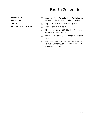#### **BENJAMIN** ▼

**EBENEZER**

**JACOB**

**REV. JACOB (cont'd)**

- Jacob Jr.—1823. Married Adaline A. Hadley his own cousin, the daughter of Ephraim Hadley.
- ▲ Abigail-Born 1824. Married George Scott.
- ▲ Elijah-Born 1826. Died in 1846.
- ▼ William L.—Born 1830. Married Phoebe M. Herriman. He was a teacher.
- ▲ Daniel-Born February 15, 1832 (twin). Died in 1853.
- Abel R.—Born February 15, 1832 (twin). Married his cousin Cornelia (Caroline) Hadley the daughter of Jesse F. Hadley. ▼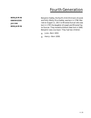**BENJAMIN EBENEZER JACOB BENJAMIN** Benjamin Hadley, the fourth child (third son) of Jacob and Polly (Molly) Rice Hadley, was born in 1796. Married on August 11, 1817, to Miranda Duncan who was born in 1797, the daughter of Joseph and Miranda Taylor Duncan. They moved to Ashford, New York in 1840. Benjamin was a surveyor. They had two children:

- ▲ June—Born 1832.
- ▲ Henry-Born 1838.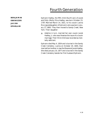**BENJAMIN EBENEZER JACOB EPHRAIM**

Ephraim Hadley, the fifth child (fourth son) of Jacob and Polly (Molly) Rice Hadley, was born October 23, 1797. Married March 14, 1821, to his cousin Lavina Rice (granddaughter of Ephraim) who was born January 17, 1800. They then moved to Sandy Creek, New York. Their daughter:

▲ Adaline in turn, married her own cousin Jacob Hadley, Jr. who was likewise the issue of a cousin marriage. Their third child was recorded as mentally deficient.

Ephraim died May 4, 1834 and is buried in the Sandy Creek Cemetery. Lavina on October 20, 1844, then married her brother-in-law the Reverend Jacob Hadley. She died January 10, 1877 and is buried in the Sandy Creek Cemetery beside her first husband Ephraim.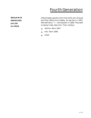**BENJAMIN EBENEZER JACOB ALFRED**

Alfred Hadley was the ninth child (sixth son) of Jacob and Polly (Molly) Rice Hadley. He was born in 1825. Married Fanny—?— who was born in 1828. They went to Sandy Creek, New York. Their children:

- ▲ Vertina—Born 1847.
- ▲ Ella—Born 1849.
- ▲ Elijah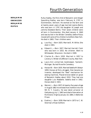**BENJAMIN EBENEZER BENJAMIN RUFUS**

Rufus Hadley, the first child of Benjamin and Abigail Spaulding Hadley, was born February 9, 1797, in Dummerston, Vermont. He worked on the farm and at twenty-seven years of age married Joanna Bemis who was born in 1797, the daughter of Joseph and Jemima Stoddard Bemis. Their seven children were all born in Dummerston. She died January 4, 1840 and was buried in the Wilder Cemetery before Rufus moved with some of his children to Ashford, New York. He died in 1865. Their children were:

- ▲ Lourilla J.-Born 1825. Married E. M. Wiltie. She died in 1901.
- ▲ Edward L.-Born 1827. Married Harriett Clark who was born in 1832. No children. Went to Whitewater, Wisconsin. He died in 1909.
- Charles N.—Born 1830. Married in 1857 to Lorancy S. Wilder of Jefferson County, New York. ▼
- ▲ Laura Ann unmarried, bookkeeper, Ypsilanti, Michigan. Buried Riceville Cemetery.
- ▲ Horace W.-Born 1835. Married Sedelia M. Boleyn 1859. Horace at first a druggist, then became an inventor, developed the "feed" mechanism for sewing machines. Placed bronze tablet on grave of Benjamin Hadley about 1910. They had one daughter Lulu Maebelle. Sedelia died in 1902. Horace died in 1921.
- ▲ Warren J. Born 1837. At twenty-five years of age in August 1862 he enlisted from Ashford into the 9th N. Y. Cavalry. He was taken prisoner at Gettysburg July 1, 1863 and died of starvation at Richmond, Virginia January 10, 1864, in Belle Isle Prison.
- ▲ Evaline J.-Born 1839. Married in 1873 to C.W. Sherman of East Ashford.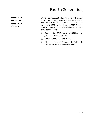**BENJAMIN EBENEZER BENJAMIN WILSON**

Wilson Hadley, the sixth child (third son) of Benjamin and Abigail Spaulding Hadley, was born September 10, 1810. He married Olive Bryant of Dummerston who was born in 1824. He died of fever in 1889. She died in 1912. They are both buried in the Wilder Cemetery. Their children were:

- ▲ Clarissa—Born 1840. Married in 1865 to George J. Bond, Searsbury, Vermont.
- ▲ George—Born 1851. Died in 1915.
- ▲ Ellen L.-Born 1857. Married to Wallace E. O'Glivie. No Issue. Ellen died in 1946.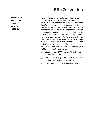**BENJAMIN EBENEZER JESSE SAMUEL JESSE F.**

Jesse F. Hadley, second child (second son) of Samuel and Betsey Wilder Hadley, was born June 22, 1802. He was ten years old when he came, with his father from Brattleboro, Vermont driving an ox team through the wilderness to Sandy Creek, New York. As his father's principal helper much responsibility rested on his young shoulders while they were becoming established in this new home. He remained on the farm helping to clear and cultivate the land until he was twenty-seven years of age. On April 16, 1829, he was married to Fannie Adams, who was born in 1800, and settled on the eastern margin of the family homestead. He died in 1882. She had died the previous year (1881). They had three children:

- Admatha—Born 1833. Married Ellen M. Newton who was born in 1837. ▼
- ▲ Cornelia (Caroline)-Born 1838. Married her cousin Abel R. Hadley. She died in 1899.
- ▲ Claret-Born 1841. Married Edward Davis.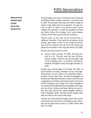**BENJAMIN EBENEZER JESSE SAMUEL HORATIO**

Horatio Hadley, the sixth child (fourth son) of Samuel and Betsey Wilder Hadley, was born in Vermont July 6, 1810. He was about two years old when brought to Sandy Creek, New York by his parents. He was married, on April 4, 1833, to his second cousin Sylvia Hadley who was born in 1810 the daughter of Jacob and Molly (Polly) Rice Hadley. Rev. Jacob Hadley, brother of the bride, performed the ceremony.

Horatio took up the land of the Government in Jefferson Township. They faced the privations of the pioneer and made a home in the wilderness which was to be his home for the rest of his life. Sylvia was taken sick and died in their log cabin March 19, 1840.

Horatio and Sylvia had one child:

▲ Almyra-Born January 27, 1835. She was married to a Dr. Thacher and had two children. Almyra Hadley Thacher was married again late in life to Wesley Otto—no children. She died in Pittsford, Hillsdale County, Michigan October 23, 1916.

Horatio was married again on October 26, 1842, to Sarah Bullard of Osseo, Hillsdale County, Michigan. She was born June 8, 1818, in the township of Barry, Orleans County, New York. She was the daughter of Simeon and Polly Baird Bullard. Simeon and Polly had a large family of children and Simeon died in the prime of life in Orleans County, New York. After the death of her husband Polly Baird Bullard migrated to Michigan with all of her children and Peter Failing, her son-inlaw, who had married her oldest daughter Rebecca. Polly's daughter Sarah married Horatio Hadley soon after her family had come to Michigan.

Horatio and Sarah Bullard Hadley spent their entire married lives on their farm in Hillsdale County, Michigan and he died there January 27, 1893. Sarah died April 19, 1897.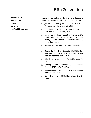#### **BENJAMIN**

**EBENEZER**

**JESSE**

**SAMUEL**

**HORATIO (cont'd)**

Horatio and Sarah had six daughters and three sons all born on the farm in Hillsdale County, Michigan:

- Jesse Failing—Born June 18, 1843. Married Anna M. Johnson on September 16, 1866. ▼
- ▲ Marcelia-Born April 17, 1845. Married to Orland Cole. She died February 6, 1918.
- ▲ Elvira-Born February 23, 1847. Married first to Caleb Hale. She was married second to Jesse Hadley (distant relative). She died October 13, 1918. No children.
- ▲ Betsey-Born October 19, 1849. Died July 22, 1852.
- ▲ Dexter Horatio-Born December 29, 1851. Married Josephine Carpenter. No children. He was married second to Hattie Smith.
- ▲ Ella-Born March 4, 1854. Married to James M. Lamb.
- ▲ Emmagene-Born December 21, 1855. Married March 4, 1876, to Dr. Fred Boyd.
- ▲ Addah-Belle-Born March 11, 1858. Died unmarried April 23, 1889.
- ▲ Ruth-Born July 17, 1861. Married to Arthur D. Prentis.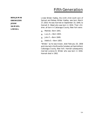**BENJAMIN EBENEZER JESSE SAMUEL LINDAL**

Lindal Wilder Hadley, the ninth child (sixth son) of Samuel and Betsey Wilder Hadley, was born March 27, 1816. He was married on September 10, 1840, to Hannah D. Weed who was born in 1816. Their children, all born in Cattaragus County, New York were:

- ▲ Matilda—Born 1841.
- ▲ Lucy A.—Born 1843.
- ▲ John F.—Born 1849.
- ▲ Adella S.—Born 1855.

"Wilder," as he was known, died February 20, 1858 and is buried in the Riceville Cemetery at East Ashford, Cattaragus County, New York. Hannah subsequently married Lorenzo B. Wilder who was born in 1816. Hannah died in 1902.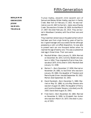**BENJAMIN EBENEZER JESSE SAMUEL TRUMAN**

Truman Hadley, eleventh child (seventh son) of Samuel and Betsey Wilder Hadley, was born in Sandy Creek, New York on February 17, 1821. He was married on June 10, 1847, to Harriet L. Upton also of Sandy Creek. She was born October 18, 1828. He died March 17, 1907. She died February 20, 1914. They are buried in Woodlawn Cemetery with five of their sons and spouses.

They lived their whole lives on the paternal farm which had been won from virgin forest by years of hard labor. A good manager and a successful farmer although possessing a calm unruffled disposition, he was able to present each son one thousand dollars when he reached the age of twenty-one. This was a substantial nest egg in those times. Their sons were:

- Marshall Wilder—Born January 31, 1854. Married on December 28, 1872, to Emily Wodell who was born in 1854. They migrated to Prairie View, Kansas about 1875. Emily died in 1935. Marshall died January 13, 1938. ▼
- Merton F.—Born December 17, 1858. Married on November 29, 1882, to Ida Elmer who was born January 29, 1860, the daughter of Theodore and Marie Snyder Elmer. Ida died September 30, 1922. Merton died September 25, 1943. ▼
- David Randolph—Born December 5, 1860. Married on May 10, 1888, to Julia May Stevens who was born August 19, 1865, the daughter of Henry and Caroline Streeter Stevens. Julia died June 28, 1920. David died August 20, 1943. ▼
- Fred (twin)—Born November 20, 1865. Married on November 8, 1890, to Elizabeth Van Auken who was born March 14, 1873. She died in January of 1921. ▼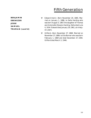**BENJAMIN**

**EBENEZER JESSE SAMUEL**

- **TRUMAN (cont'd)**
- Edward (twin)—Born November 20, 1865. Married on January 1, 1886, to Della Harding who was born August 3, 1867, the daughter of Thomas and Antoinette Stevens Harding. Della died June 4, 1934. Edward died January 29, 1961, at ninetysix years. ▼
- Gillford—Born November 27, 1868. Married on November 27, 1889, to Ella Bonner who was born February 1, 1869 and died December 27, 1949. Gillford died March 3, 1946. ▼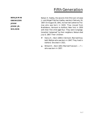**BENJAMIN EBENEZER JESSE JESSE JR. NELSON**

Nelson H. Hadley, the second child (first son) of Jesse Jr. and Abigail Fletcher Hadley, was born February 16, 1807. On August 30, 1841, he married Catherine Thomas who was born in 1820. They moved from Brattleboro, Vermont to Ashford, New York in 1850 with their first child aged four. They were Congregationalists "esteemed" by their neighbors. Nelson died July 6, 1867. Their children:

- Henry H.—Born 1846 in Vermont. Married Elizabeth Weltsie who was born in 1847. They lived in Ashford. She died in 1921. ▼
- ▲ Willard H. Born 1853. Married Frances C. ? who was born in 1857.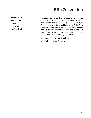**BENJAMIN EBENEZER JESSE JESSE JR. HANNIBAL** Hannibal Hadley, fourth child (second son) of Jesse Jr. and Abigail Fletcher Hadley, was born April 20, 1812. He was married on January 24, 1837, to Mary L. Field, daughter of David and Patty Wood Field. They remained in Brattleboro, Vermont. He was a butcher and a successful business man and was said to be a "strong man" in the Congregational Church. Hannibal died in 1884. Their two daughters were:

- ▲ Elizabeth—Married G. Sellick.
- ▲ Emily—Married F. Emerson.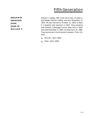**BENJAMIN EBENEZER JESSE JESSE JR. WILLIAM F.** William F. Hadley, fifth child (third son) of Jesse Jr. and Abigail Fletcher Hadley, was born November 12, 1814. He was married on October 11, 1843, to Mary D. Carpenter who was born in 1822. They moved to East Ashford, Cattaragus County, New York in 1843. She died November 6, 1863. He died April 25, 1881. They are buried in the Riceville Cemetery. Their children:

- A Alice M. Born 1854.
- ▲ Ellen—Born 1856.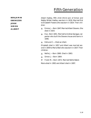**BENJAMIN EBENEZER JESSE SIMON ALBERT** ▲

Albert Hadley, fifth child (third son) of Simon and Nabby Wilder Hadley, was born in 1818. Married first to Elizabeth Flowers who was born in 1824. Their children:

- ▲ Emma J.—Born 1847. Married Albert Stevens. She died in 1924.
- ▲ Eva-Born 1851. Married to Andrew Sprague, carpenter who built the Stevens house and barns in 1846.
- Edmund C.—Died as infant. ▲

Elizabeth died in 1857 and Albert was married second in 1859 to Maria Wait who was born in 1837. Their children:

- ▲ Nellie J.—Born 1860. Died in 1863.
- ▲ Simon J.—Born 1864.
- ▼ Frank M.—Born 1872. Married Nellie Baker.

Maria died in 1892 and Albert died in 1897.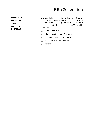**BENJAMIN EBENEZER JESSE STEPHEN SHERMAN**

Sherman Hadley, the third child (first son) of Stephen and Clairessa Wilder Hadley, was born in 1819. He married Ann Elizabeth Ingersoll who was born in 1821 and died in 1901. Sherman died in 1907. Their children were:

- ▲ Sarah—Born 1848.
- ▲ Ellen—Lived in Pulaski, New York.
- ▲ Charles—Lived in Pulaski, New York.
- ▲ Ida—Lived in Pulaski, New York.
- ▲ Blanche.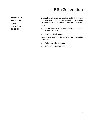**BENJAMIN EBENEZER JESSE EBENEZER GEORGE** ▲

George Lewis Hadley was the first child of Ebenezer and Sibyl Bemis Hadley. Married first on November 26, 1839, to Sarah A. Wellman of Yorkshire. Their children:

- **A** Martha A.—Married to Jeremiah Vaughn in 1853. Migrated to Iowa.
- ▲ Sarah A.—Died young.

George then married Sallie Weast in 1852. Their children were:

- ▲ Willie—Yorkshire farmer.
- ▲ Hattie—Yorkshire farmer.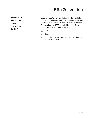**BENJAMIN EBENEZER JESSE EBENEZER OSCAR**

Oscar W. (also William O.) Hadley, the third child (second son) of Ebenezer and Sibyl Bemis Hadley, was born in 1818. Married in 1840 to Elvira Davenport. She was born in 1823 and died in 1908. Oscar had died in 1904. Their children were:

- ▲ Fred
- ▲ Helen
- ▲ Marion-Born 1847. Married Ebenezer Sherman, had three children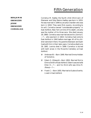**BENJAMIN EBENEZER JESSE EBENEZER CORNELIUS** Cornelius M. Hadley the fourth child (third son) of Ebenezer and Sibyl Bemis Hadley was born in 1819. He was married in 1846 to Jerusha Chandler who was born in 1818. They were first cousins. According to his will, Cornelius owned "considerable property" in East Ashford, New York at time of his death. Jerusha was the mother of his three sons. She died January 29, 1868. Cornelius was married second to Levinia S. —?— who was born in 1824. Cornelius had come to East Ashford in 1842 before marriage. All of his children were born there. His parents Ebenezer and Sybil lived with him in their later years. Cornelius died June 29, 1891. Levinia died in 1899. Cornelius is buried with both wives in the Riceville Cemetery at East Ashford.

- Ambrose W.—Born 1849. Married Emma Holden of Yorkshire. ▼
- ▼ Edwin S. (Edward)-Born 1850. Married first to Elmira Smith of East Ashford. Edwin's second wife Ellen  $H - ? -$  and his third wife was Alice R. (Rena)—?—.
- Frank C.—Born 1855. Married to Eudora Evertts. Lived in East Ashford. ▼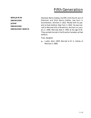**BENJAMIN EBENEZER JESSE EBENEZER EBENEZER BEMIS**

Ebenezer Bemis Hadley, the fifth child (fourth son) of Ebenezer and Sibyl Bemis Hadley, was born in Dummerston, Vermont in 1822. Moved with his parents to East Ashford, New York in 1842. He was married to Marinda Hills of Brookline, Vermont on January 2, 1848. Marinda died in 1905 at the age of 81. They are both buried in the Riceville Cemetery at East Ashford.

Their daughter:

▲ Luella-Born 1859. Married to M. H. Ashley of Machias in 1880.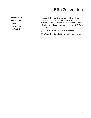**BENJAMIN EBENEZER JESSE EBENEZER HORACE**

Horace H. Hadley, the eighth child (sixth son) of Ebenezer and Sibyl Bemis Hadley, was born in 1829. Married in 1862 to Sarah W. Thomas born 1830 of Hinsdale, New Hampshire. Horace died in 1917. Their children:

- ▲ Samuel-Born 1854. Died in infancy.
- ▼ Warren H.—Born 1862. Married Orressa M. Howe.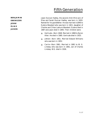**BENJAMIN EBENEZER JESSE ELIAS JASON**

Jason Duncan Hadley, the second child (first son) of Elias and Sarah Duncan Hadley, was born in 1820. Named for his grandfather. He was married in1846 to Eudora Woodard who was born in 1821, daughter of Charles and Chloe Lashure Woodard. Eudora died in 1887 and Jason died in 1895. Their children were:

- ▲ Gertrude-Born 1848. Married in 1868 to Byron Allen. He died in 1885. Gertrude died in 1925.
- ▲ Jettien-Born 1851. Married Edward Williams who was born in 1852.
- ▲ Carrie-Born 1861. Married in 1881 to W. G. Lindsey who was born in 1861, son of Charles Lindsey. W.G. died in 1926.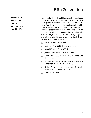**BENJAMIN EBENEZER JACOB REV. JACOB JACOB, JR.**

Jacob Hadley Jr., fifth child (third son) of Rev. Jacob and Abigail Rice Hadley was born in 1823. His first marriage was to his cousin Adeline Hadley, the daughter of Ephraim. Adeline was the mother of all his children. She died August 31, 1889, at sixty-four. Jacob Hadley Jr.'s second marriage in 1892 was to Elizabeth Scott who was born in 1835 and died from burns in 1910. Jacob Jr. died July 28, 1902, at eighty years, and is buried with his two wives in the Sandy Creek Cemetery. His children were:

- ▲ Everett Ernest-Born 1848.
- Andrew—Born 1849. Died as an infant.  $\blacktriangle$
- ▲ Daniel (David)-Born 1855. Died in 1913.
- ▲ Jennie-Born 1858. Died as an infant.
- ▲ Clara-Born 1863. Married Dr. C. H. Davis. She died in 1889.
- ▲ Arthur—Born 1861. He was married to Maryetta Christman in 1877. He died in 1928.
- ▲ Nellie-Born 1866. Married in (about) 1890 to Byron E. Scott. Nellie died in 1952.
- ▲ Alice—Born 1873.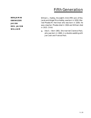**BENJAMIN EBENEZER JACOB REV. JACOB WILLIAM**

William L. Hadley, the eighth child (fifth son) of Rev. Jacob and Abigail Rice Hadley, was born in 1830. Married Phoebe M. Herriman who was born in 1836. He was a teacher. Phoebe died in 1904 and William died in 1915. Child:

▲ Ada S.—Born 1861. She married Clarence Peck, who was born in 1860, in a double wedding with Joe Cook and Frances Peck.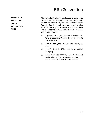**BENJAMIN EBENEZER JACOB REV. JACOB ABEL**

Abel R. Hadley, the last of Rev. Jacob and Abigail Rice Hadley's children (along with his twin brother Daniel), was born on February 15, 1832. He married his cousin Cornelia (Caroline) Hadley who was born November 23, 1838, the daughter of Jesse F. and Fannie Adams Hadley. Cornelia died in 1899. Abel died April 26, 1914. Their children were:

- Clayton E.—Born 1860. Married Evaline McKee. Went to Cattaragus County, New York then to Peru, Nebraska. ▲
- ▲ Frank A.—Born June 16, 1861. Died January 24, 1871.
- ▼ Jesse F.—Born in 1874. Married to Marion Champney.
- ▲ F. Reo-Born September 13, 1882. Married Eva Knollin who was born December 15, 1885 and died in 1966. F. Reo died in 1951. No issue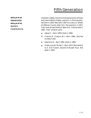**BENJAMIN EBENEZER BENJAMIN RUFUS CHARLES N.**

Charles N. Hadley, the third child (second son) of Rufus and Joanna Bemis Hadley, was born in Dummerston, Vermont in 1830. Married in 1857 to Lorancy S. Wilder of Jefferson County, New York. She was born in 1837. They lived at East Ashford, New York. Charles died in 1881. Their children were:

- ▲ Agnes E. Born 1859. Died in 1884.
- ▼ Charles M. (Cassius M.)-Born 1860. Married Arnetta Fuller.
- ▲ Valentine N.-Born 1865. Died in 1884.
- ▲ Violet (Laura) ("Birdie") Born 1874. Married first to A. Erle Travers. Second to Russell Hoyt. She died in 1959.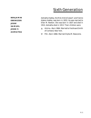### Sixth Generation

**BENJAMIN EBENEZER JESSE SAMUEL JESSE F. ADMATHA** Admatha Hadley, the first child of Jesse F. and Fannie Adams Hadley, was born in 1833. He was married to Ellen M. Newton. She was born in 1837 and died in 1912. Admatha died in 1913. Their children were:

- ▲ Almira-Born 1864. Married to Ferdinand Smith of Cortland, New York.
- ▼ Pitt-Born 1866. Married Orpha M. Newcome.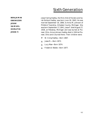**BENJAMIN EBENEZER JESSE SAMUEL HORATIO JESSE F.**

Jesse Failing Hadley, the first child of Horatio and Sarah Bullard Hadley, was born June 18, 1843. He was married September 16, 1866, to Anna M. Johnson of Pittsford Township, Hillsdale County, Michigan. She was born September 17, 1841. Jesse F. died August 27, 1926, at Petoskey, Michigan and was buried at Pioneer, Ohio. Anna Johnson Hadley died in 1924 at Pioneer, Ohio and is buried there. Their children were:

- ▼ W. Irving Hadley—Born 1867.
- ▲ Jesse R.—Born 1872.
- ▲ Lucy Mae—Born 1874.
- ▲ Frederick Waldo—Born 1877.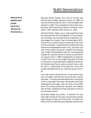**BENJAMIN EBENEZER JESSE SAMUEL TRUMAN MARSHALL** Marshall Wilder Hadley, first child of Truman and Harriet Upton Hadley, was born January 31, 1854. He was married December 28, 1872, to Emily Wodell who was born in 1854. They migrated to Prairie View, Kansas about 1875 where they raised six children. Emily died in 1935. Marshall died January 13, 1938.

Marshall Wilder Hadley was a large powerfully built man and a pioneer like his forebearers. His only daughter, Edna Mae, has recorded that he migrated by covered wagon from Sandy Creek to Kansas about 1875. There he built a partly dug out sod house of one room with two windows. It was floored and roofed with wide boards and whitewashed inside. Emily, with their two year old son Delle, joined her husband the following year. Under the Homestead Claim Act, he was granted a patent for a quarter section of 160 acres (one fourth of a square mile) in 1889. Subsequently through the Timber Claim Act to encourage the growth of timber on the prairie, he was awarded an additional 160 acres for the planting of locust, walnut, and ash trees. Later he built a comfortable three bedroom house and bought 320 additional acres, making a square mile in all.

The virgin prairie was fertile but it required the hard work of a father and five sons as well as their mother and sister. The plows were equipped with a strong sod cutter to tear apart the heavy root growth which had developed over the ages. Later of course, in the 1930s when this surface protection was gone, the Hadleys like all other inhabitants of that area were victims of the dust bowl storms.

Edna Mae Hadley has written, "It seemed like dust blew night and day for ten years. Houses were not built tight enough to keep out the fine dust. It drifted into piles on the railroad tracks and highways causing many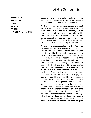**BENJAMIN EBENEZER JESSE SAMUEL TRUMAN MARSHALL (cont'd)** accidents. Many pantries had no windows, food was kept there and people ate in them. I have seen the horizon reddish cast. Lots of times vision was zero.

"In the summer, wind storms necessitated prompt escape to the cyclone cellar, while in winter, blizzards were a hazard to man and beast. For safety at these times a guiding wire was strung from cattle shed to the house. Clarence Hadley was lost in a blizzard with temperature at five degrees below zero. When he was found the next day, his fingers and one toe had been frozen, necessitating their subsequent removal.

"In addition to the dust bowl storms, the settlers had to contend with pests of grasshoppers and chinch bugs. At times their crops were ruined by storms of giant hail stones. While they worked hard and faced many hardships these were in part lightened by human fellowship, quilting parties, and spelling bees held at the school house. This was only a one mile walk from home (no busses for these hardy youngsters) and on the last day of school each year they held the long awaited celebration with tree planting, piece speaking, and a mammoth picnic dinner. There was also an annual Jubilee held fourteen miles distant. For this the family, dressed in their very best, set out at daylight in the horse wagon filled with hay. Mother and daughter had spent all the previous day preparing food for the occasion. Arriving at the grounds, there were races of various kinds, horse-back riding, weight pulling and lifting, contests of strength and endurance, a ball game, and last of all the great balloon ascension. For this the balloon, with a basket suspended beneath, was filled with hot air while being held down with sand bags; when these were detached the balloon rose vertically into the air. When the air cooled, the balloon came down—usually at some distance. Sometimes a trapeze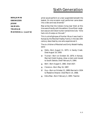#### **BENJAMIN**

**EBENEZER JESSE SAMUEL TRUMAN MARSHALL (cont'd)** artist would perform on a bar suspended beneath the basket. On one occasion a girl performer came down into a lake and was drowned."

Mae writes that the Indians living near them at this time were friendly with the settlers. One of their neighbors was an old Indian hunter named Ame Cole. "Ame had a lot of scalps on the wall."

This is a brief glimpse of frontier life as it was lived in Kansas by the Marshall Hadley Family in the late 19th century described by one who experienced it.

The six children of Marshall and Emily Wodell Hadley were:

- ▲ Delle-Born August 11, 1873, in Sandy Creek. Died August 19, 1959.
- Truman—Born on October 20, 1879, in Kansas. Married Violet Huskey, drew a claim and moved to South Dakota. Died February 6, 1964. ▼
- ▲ Bert-Born August 5, 1882. Died 1927.
- ▲ Clarence—Born May 16, 1887.
- ▼ Guy-Born on October 21, 1889. Married in 1934 to Madaline Shearer. Died March 14, 1968.
- ▲ Edna Mae-Born February 2, 1893. Teacher.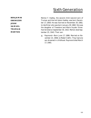**BENJAMIN EBENEZER JESSE SAMUEL TRUMAN MERTON**

Merton F. Hadley, the second child (second son) of Truman and Harriet Upton Hadley, was born December 17, 1858. He was married on November 29, 1882, to Ida Elmer who was born January 29, 1860. She was the daughter of Theodore and Marie Snyder Elmer. Harriet died on September 30, 1922. Merton died September 25, 1943. Their son:

Raymond—Born June 17, 1886. Married on November 23, 1908, to Mabel Claflin. They had one son drowned in childhood. Raymond died March 17, 1965. ▲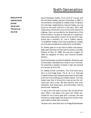**BENJAMIN EBENEZER JESSE SAMUEL TRUMAN DAVID**

David Randolph Hadley, third child of Truman and Harriet Upton Hadley, was born December 5, 1860, in the old family homestead on Hadley Road. Originally this had been established by Samuel Hadley as a log house on the south side but in the early '20s it was replaced by a frame structure on the north side of the highway. Here, surrounded by the dissentions of five active brothers, he grew to manhood on a large farm where there was plenty of work for all and firm leadership was a necessity. Dr. Lee A. Hadley reports, "Grandfather Hadley must have qualified as a leader since he was considered successful and 'comfortable.' "

Dr. Hadley goes on to say that his father was twentyeight years old when he married his mother, Julia May Stevens on May 10, 1888. She was born August 19, 1865 the daughter of Henry and Caroline Streeter Stevens.

David had already scouted the Western States but was not favorably impressed and chose to live in the East. He remained a resident of Sandy Creek and worked as a farmer all of his life.

Dr. Hadley further comments, "Our first home was a farm on the Ridge Road. The R. W. & O. Railroad crossed the back part separating the pasture and sugar bush from the buildings and tillable upland. The only hazard was that of driving the cows across the railroad track twice a day. We were familiar with train schedules, took great pains, and fortunately nothing serious ever happened.

"It was a one mile walk to school. We carried dinner pails. When I was about nine years old, Father purchased for me a nanny goat with a harness. She was hitched to a large wagon and drew me to school many years before busses were invented.

"Brother and I were both born on Ridge Road between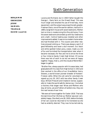**BENJAMIN EBENEZER JESSE SAMUEL TRUMAN DAVID (cont'd)** Lacona and Richland, but in 1903 Father bought the George L. Davis farm on the Orwell Road. This was much larger and entailed the use of hired help, more equipment, and the output was proportionally greater. Freeman Davis, one of the earlier settlers, had built in 1885 a large farm house with seven bedrooms. Mother lost no time in modernizing this fine old home. From the seven bedrooms she ended up with four bedrooms and a bath. Central heating was installed and other improvements added. It was a nice modern home when she had finished with it. The cousins and other relatives enjoyed visiting us. There was always a spirit of good fellowship and never a dull moment. Our black and white spotted Indian pony, Jessie, made us a lot of fun and furnished the transportation later when it became necessary for Rex and me to drive the three or four miles to Sandy Creek High School. Of course there was lots of work to do but we were all happy together. Happy, that is, until the clouds of World War I began to gather.

"Brother Rex, always popular with his associates, had graduated with his class from High School in 1915 and then worked in the office of our Grandfather Henry Stevens, a world-known pioneer breeder of Holstein-Friesian cattle. When the call came for volunteers he signed up July 20, 1917, with two other Sandy Creek boys, William Prescott and Chadwick Gerow, supposedly to 'make the world safe for democracy.' And what a mockery that slogan was! Wives and Mothers who stay at home, yes and Fathers of soldiers too, they are the real heroes of war time.

"We were all home together for Easter 1918. That was the last time of her life that our Mother was ever completely happy. She died June 28, 1920, before the body of her son could be returned to his homeland as she had so ardently desired. They now lie buried side by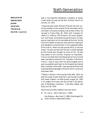**BENJAMIN EBENEZER JESSE SAMUEL TRUMAN DAVID (cont'd)** side in the beautiful Woodlawn Cemetery at Sandy Creek where he was buried with military honors on January 10, 1921.

"Chad was also killed. William Prescott the only surviving member of the original three volunteers and a comrade in the same company has written of Rex: He 'arrived in France May 30, 1918, with Company B, 105th U.S. Infantry, 27th Division. His sunny disposition and brave uncomplaining performance of duty was an inspiration to his comrades at the front. At the time of his death he had just returned from important and dangerous scouting duty to the supposed safety of the trench, where he was picked off by a German sniper.' He was carried over the top in broad daylight by the friends who thought so much of him. He was evacuated to the military hospital at Esquelbec, France, but died there the following morning. He had been wounded at Kemmel Hill, Flanders in Northern France. I was on duty with the same brigade and as soon as possible went back to the hospital and talked with a member of the staff. I was assured that Rex had sustained severe damage to the brain which could only have been fatal.

"Father's interest in farming declined after 1920. He sold the large Orwell Road farm and busied himself with lesser matters. He died quietly August 20, 1943 in his eighty-third year and lies buried in the family plot of Woodlawn Cemetery." Julia May Hadley had died June 28, 1920.

David and Julia May Hadley's two sons were:

- ▼ Dr. Lee A.—Born February 3, 1892.
- Rex Stevens—Born April 3, 1896. Died August 28, ▲ 1918. Killed in battle World War I.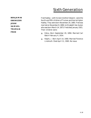**BENJAMIN EBENEZER JESSE SAMUEL TRUMAN FRED**

Fred Hadley—with his twin brother Edward—were the fourth and fifth children of Truman and Harriet Upton Hadley. They were born November 20, 1865. Fred was married on November 8, 1890, to Elizabeth Van Auken who was born March 14, 1873. Fred died January 1921. Their children were:

- ▲ Edna-Born September 20, 1894. Married Carl Balch February 4, 1914.
- ▲ Ralph J.-Born April 14, 1900. Married Florence Lindmuth. Died April 11, 1965. No issue.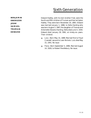**BENJAMIN EBENEZER JESSE SAMUEL TRUMAN EDWARD**

Edward Hadley, with his twin brother Fred, were the fourth and fifth children of Truman and Harriet Upton Hadley. They were born November 20, 1865. Edward was married January 1, 1886, to Della Harding who was born August 3, 1867, the daughter of Thomas and Antoinette Stevens Harding. Della died June 4, 1934. Edward died January 29, 1961, at ninety-six years. Their children:

- ▲ Lulu-Born May 15, 1889. Married first to Floyd Crandall, second to Leon Nichols. Lulu died May 15, 1941. No issue
- ▲ Flora-Born September 5, 1896. Married August 14, 1926, to Robert Pendlebury. No issue.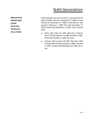**BENJAMIN EBENEZER JESSE SAMUEL TRUMAN GILLFORD** 

Gillford Hadley, the sixth child of Truman and Harriet Upton Hadley, was born November 27, 1868. He was married on November 27, 1889, to Ella Bonner who was born February 1, 1869. She died December 27, 1949. Gillford had died March 3, 1946. Their children were:

- ▲ Ethel—Born May 23, 1891. Married in 1910 to Harry Tift who was born in 1887 and died in 1965. Ethel died October 6, 1965. No issue.
- ▲ Howard-Born January 29, 1901. Married in 1929 to Audra Williams who was born in 1887. She died in 1953. Howard died November 29, 1963. No issue.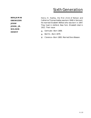**BENJAMIN EBENEZER JESSE JESSE, JR. NELSON HENRY**

Henry H. Hadley, the first child of Nelson and Catherine Thomas Hadley was born 1846 in Vermont. He married Elizabeth Weltsie who was born in 1847. They lived in Ashford, New York. Elizabeth died in 1921. Their issue:

- ▲ Gertrude—Born 1869.
- ▲ Bert N.-Born 1879.
- ▼ Clarence—Born 1883. Married Dora Wasson.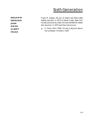**BENJAMIN EBENEZER JESSE SIMON ALBERT FRANK**

Frank M. Hadley, the son of Albert and Maria Wait Hadley was born in 1872 at Sandy Creek, New York. He was a butcher by trade. He married Nellie B. Baker who was born in 1873 and they had one son.

▲ H. Earle-Born 1893. He was a physical education professor. He died in 1967.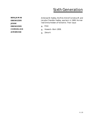**BENJAMIN EBENEZER JESSE EBENEZER CORNELIUS AMBROSE**

Ambrose W. Hadley, the first child of Cornelius M. and Jerusha Chandler Hadley, was born in 1849. He married Emma Holden of Yorkshire. Their issue:

▲ Elsie

- ▲ Howard—Born 1858.
- ▲ Zelva H.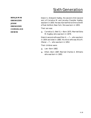**BENJAMIN EBENEZER**

**JESSE EBENEZER CORNELIUS EDWIN** 

Edwin S. (Edward) Hadley, the second child (second son) of Cornelius M. and Jerusha Chandler Hadley, was born in 1850. He was married first to Elmira Smith of East Ashford, New York. She was born in 1855.

Their son was:

▲ Cornelius S. (Neil S.)—Born 1875. Married Edna M. Hughey who was born in 1879.

Edwin's second wife was Ellen H. —?— who was born in 1854 and died in 1880. His third wife was Alice R.  $(Rena)$  —?— who was born in 1852.

Their children were:

- ▲ Lee-Born 1882.
- ▲ Ethel-Born 1887. Married Charles A. Williams who was born in 1892.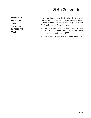**BENJAMIN EBENEZER JESSE EBENEZER CORNELIUS FRANK**

Frank C. Hadley, the third child (third son) of Cornelius M. and Jerusha Chandler Hadley, was born in 1855. He married Eudora Evertts. They lived at East Ashford, New York. Their children:

- ▲ Burdett-Born 1878. Married in 1906 to Rose Minnie —?— who was born in 1875. She died in 1961 and Burdett died in 1962.
- Merton—Born 1881. Married to Martha Bremiller. ▼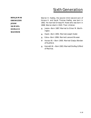**BENJAMIN EBENEZER**

**JESSE SAMUEL**

**HORACE**

**WARREN**

Warren H. Hadley, the second child (second son) of Horace H. and Sarah Thomas Hadley, was born in 1862. He married Orressa M. Howe who was born in 1868. Warren died in 1920. Their children:

- ▲ Jessie-Born 1887. Married to Elmer M. Worthington.
- ▲ Hazel-Born 1892. Married Joseph Koder.
- ▲ Edna-Born 1896. Married Leonard Brueser.
- ▼ Horace W.-Born 1900. Married Gladys Worden of Rushford.
- ▲ Kenneth W.-Born 1903. Married Ella May Gifford of Machias.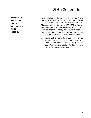**BENJAMIN EBENEZER JACOB REV. JACOB ABEL JESSE F.**

Jesse F. Hadley, third child (third son) of Abel R. and Cornelia (Caroline) Hadley Hadley, was born in 1874 in Sandy Creek, New York. He married Marion L. Champney who was born August 17, 1875, in Pulaski, New York. She was the daughter of Almon J. and Henrietta Frary Champney. They lived in Washingtonville and Chester, New York. Marion died December 11, 1956. Jesse died in 1960. Their only child:

▲ Lucille Esther-Born March 31, 1905. Married Arthur LaVerne Cronkite of Oneonta, New York. Their children were LaVerne (Larry) Jesse and Roger Wesley. Arthur died on April 3, 1973 and Lucille died December 23, 1996.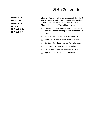**BENJAMIN EBENEZER BENJAMIN RUFUS CHARLES N. CHARLES M.** Charles (Cassius) M. Hadley, the second child (first son) of Charles N. and Lorancy Wilder Hadley was born in 1860. Married Arnetta Fuller who was born in 1870. Charles died in 1936. Their children were:

- ▲ Clark-Born 1896. Married first Blanche Miller. No issue. Second marriage to Mattie Mitchell. No issue.
- ▲ Dorothy L.-Born 1897. Married Ray Davis.
- ▲ Rufus-Born 1899. Married Beatrice Hunter.
- ▼ Clayton-Born 1902. Married Mary Ellsworth.
- ▼ Charles-Born 1904. Married Iva Follett.
- ▲ Lucile-Born 1909. Married Francis Russett.
- ▲ Warren H.-Born 1911. Died an infant.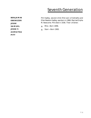**BENJAMIN EBENEZER JESSE SAMUEL JESSE F. ADMATHA PITT**

Pitt Hadley, second child (first son) of Admatha and Ellen Newton Hadley, was born in 1866. Married Orpha M. Newcome. Pitt died in 1936. Their children:

- ▲ Milo—Born 1896.
- ▲ Starr—Born 1900.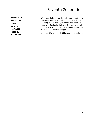**BENJAMIN EBENEZER JESSE SAMUEL HORATIO JESSE F. W. IRVING**

W. Irving Hadley, first child of Jesse F. and Anna Johnson Hadley, was born in 1867 and died in 1948. W. Irving made a thorough study of the Hadley Genealogy from Benjamin Hadley of Brattleboro down to include that of his father, Jesse Failing Hadley. He married —?— and had one son:

▼ Robert W. who married Florence Marie Bothwell.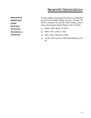**BENJAMIN EBENEZER**

**JESSE**

**SAMUEL**

**TRUMAN**

**MARSHALL**

**TRUMAN**

Truman Hadley, the second child (first son) of Marshall W. and Emily Wodell Hadley, was born October 20, 1879, in Kansas. He married Violet Huskey, drew a claim and moved to South Dakota. Their children:

- ▲ Albert-Born March 17, 1920.
- ▲ Ethel-Born June 21, 1922.
- ▲ John-Born February 8, 1925.
- ▲ Lucille-Born June 13, 1928. Married Myron Coffin.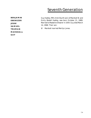**BENJAMIN EBENEZER JESSE SAMUEL TRUMAN MARSHALL GUY**

Guy Hadley, fifth child (fourth son) of Marshall W. and Emily Wodell Hadley, was born October 21, 1889. Married to Madaline Shearer in 1934. Guy died March 14, 1968. Their son:

▼ Marshall married Merilyn Jones.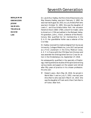**BENJAMIN EBENEZER JESSE SAMUEL TRUMAN DAVID LEE**

Dr. Lee Arthur Hadley, the first child of David and Julia May Stevens Hadley, was born February 3, 1892. He was married August 18, 1915, to Lulu Amelia Pohl who was born October 31, 1891. She was the daughter of Lewis C. and Elva Arletta Keller Pohl. Her ancestor Hendrick Klock (1663–1760), a Dutch fur trader, came to America in 1704 and settled in the Mohawk Valley. His grandson, John J. Klock, a Veteran of the Revolutionary War qualified her for membership in the D. A. R. Her grandfather Keller was a veteran of the Civil War.

Dr. Hadley received his medical degree from Syracuse University, College of Medicine, June 1917 and served as a First Lieutenant in the Army Medical Corps, A. E. F. in France with the 27th New York Division and was awarded the Distinguished Service Cross for action in the Hindenberg Line, September 27, 1918.

He subsequently qualified in the specialty of Radiology, making extensive studies of the spine and writing various books and papers on the subject and retired after fifty years of practice in his chosen profession. His only son:

Robert Lewis—Born May 18, 1916. He served in World War II and on July 5, 1952, married Jane Alice Norris who was born March 14, 1923. She was the daughter of Frank and Lillian Clark Norris of Fulton, New York. ▼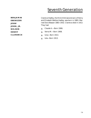**BENJAMIN EBENEZER JESSE JESSE, JR. NELSON HENRY CLARENCE** Clarence Hadley, the third child (second son) of Henry and Elizabeth Weltsie Hadley, was born in 1883. Married Dora Wasson 1883–1932. Clarence died in 1913. They had:

- ▲ Claude A. Born 1906.
- ▲ Verna M.—Born 1908.
- ▲ Iona—Born 1913.
- ▲ Iola—Born 1913.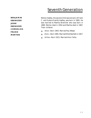**BENJAMIN EBENEZER JESSE EBENEZER CORNELIUS FRANK MERTON**

Merton Hadley, the second child (second son) of Frank C. and Eudora Evertts Hadley, was born in 1881. He was married to Martha Bremiller who was born in 1880. Merton died in 1954 and Martha died in 1967. Their children:

- ▲ Alice—Born 1903. Married Roy Weast.
- ▲ Alvin—Born 1905. Married Ethel Bartlett in 1927.
- ▲ Arline—Born 1915. Married Alvin Falits.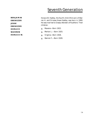**BENJAMIN EBENEZER JESSE EBENEZER HORACE**

**WARREN**

**HORACE W.**

Horace W. Hadley, the fourth child (first son) of Warren H. and Orressa Howe Hadley, was born in 1900. He was married to Gladys Worden of Rushford. Their children:

- ▲ Maxene—Born 1922.
- ▲ Merton L.—Born 1925.
- ▲ Virginia—Born 1926.
- ▲ Warren F.—Born 1928.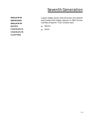**BENJAMIN EBENEZER BENJAMIN RUFUS CHARLES N. CHARLES M. CLAYTON**

Clayton Hadley, fourth child (third son) of Charles M. and Arnetta Fuller Hadley, was born in 1902. He married Mary Ellsworth. Their children were:

- ▲ Warren
- ▲ David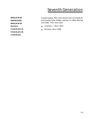**BENJAMIN EBENEZER BENJAMIN RUFUS CHARLES N. CHARLES M. CHARLES**

Charles Hadley, fifth child (fourth son) of Charles M. and Arnetta Fuller Hadley, was born in 1904. Married Iva Follett. Their sons were:

- ▲ Charles Jr. Born 1933.
- ▲ Richard—Born 1938.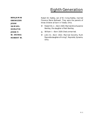# Eighth Generation

**BENJAMIN EBENEZER JESSE SAMUEL HORATIO JESSE F. W. IRVING**

**ROBERT W.**

Robert W. Hadley, son of W. Irving Hadley, married Florence Marie Bothwell. They were the parents of three children all born in Toledo, Ohio.

- Robert W. Jr.—Born 1920. Married Alice Suzanne Bentley, the daughter of Neil Bentley. ▼
- ▲ William I.-Born 1929. Died unmarried.
- John B.—Born 1922. Married Dorothy Ruth Reynolds daughter of Irving C. Reynolds, Sylvania, Ohio. ▼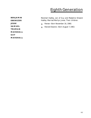# Eighth Generation

**BENJAMIN EBENEZER JESSE SAMUEL TRUMAN MARSHALL GUY MARSHALL** Marshall Hadley, son of Guy and Madaline Shearer Hadley. Married Merilyn Jones. Their children:

- ▲ Renee—Born November 16, 1960.
- ▲ Renold Dwaine—Born August 7, 1963.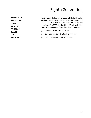# Eighth Generation

**BENJAMIN EBENEZER JESSE SAMUEL TRUMAN DAVID LEE ROBERT L.**

Robert Lewis Hadley, son of Lee and Lulu Pohl Hadley, was born May 18, 1916. He served in World War II and on July 5, 1952, married Jane Alice Norris who was born March 14, 1923, the daughter of Frank and Lillian Clark Norris of Fulton, New York. Their children:

- ▲ Lou Ann—Born April 30, 1954.
- ▲ Ruth Louise—Born September 12, 1956.
- ▲ Lee Robert—Born August 15, 1960.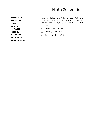#### Ninth Generation

**BENJAMIN EBENEZER JESSE SAMUEL HORATIO JESSE F. W. IRVING ROBERT W. ROBERT W. JR.** Robert W. Hadley, Jr., first child of Robert W. Sr. and Florence Bothwell Hadley, was born in 1920. Married Alice Suzanne Bentley, daughter of Neil Bentley. Their children:

- ▲ Richard N.—Born 1944.
- ▲ Stephen J.—Born 1947.
- ▲ Caroline E.—Born 1952.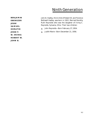## Ninth Generation

**BENJAMIN EBENEZER JESSE SAMUEL HORATIO JESSE F. W. IRVING ROBERT W. JOHN B.**

John B. Hadley, third child of Robert W. and Florence Bothwell Hadley, was born in 1922. Married Dorothy Ruth Reynolds who was the daughter of Irving C. Reynolds, Sylvania, Ohio. Their two children:

- ▲ John Reynolds—Born February 27, 1954.
- ▲ Judith Marie—Born December 21, 1956.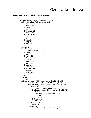#### Generations Index

#### **Generation - Individual - Page**

- 1. Benjamin Hadley Mehitable Applin, 1.1, 2.1, 2.3, 2.5
	- 2. Thomas Hadley Ruth Lawrence, 1.2, 2.1
		- 3. Elizabeth, 2.1
		- 3. Thomas, 2.1
		- 3. Samuel, 2.1
		- 3. Ruth, 2.1
		- 3. Ebenezer, 2.1
		- 3. Thomas, 2.1
		- 3. Benjamin, 2.1
		- 3. Ruth, 2.1
		- 3. Simon, 2.1
		- 3. Sarah, 2.2
		- 3. Mary, 2.2
		- 3. John, 2.2
	- 2. Sarah, 1.2
	- 2. Benjamin, 1.2
	- 2. Mehitable, 1.2
	- 2. John Hadley Eunice—?—, 1.2, 2.3
		- 3. Sarah, 2.3
		- 3. John, 2.3
		- 3. Eunice, 2.3
		- 3. Unice, 2.3
		- 3. Peter, 2.3
		- 3. Jonathan, 2.3
		- 3. Jonas, 2.3
		- 3. Lucy, 2.3
		- 3. Ruth, 2.3
		- 3. Tryphena, 2.3
		- 3. Joseph, 2.3
		- 3. Benjamin, 2.4
		- 3. Amos, 2.4
	- 2. Phebe, 1.2
	- 2. Simon, 1.2
	- 2. Hanah, 1.2
	- 2. Ebenezer Hadley Abigail Spalding, 1.2, 2.5, 3.1, 3.5, 3.6, 3.8
		- 3. Jesse Hadley Abigail Wilder, 2.10, 3.1, 4.1, 4.6, 4.7, 4.9, 4.11, 4.12 4. Samuel Hadley - Betsey Wilder, 3.3, 4.1, 5.1, 5.2, 5.4, 5.5
			- 5. Samuel, 4.4
				- 5. Jesse F. Hadley Fannie Adams, 4.4, 5.1, 6.1
					- 6. Admatha Hadley Ellen M. Newton, 5.1, 6.1, 7.1 7. Almira, 6.1
						- 7. Pitt Hadley Orpha M. Newcome, 6.1, 7.1
							- 8. Milo, 7.1
						- 8. Starr, 7.1
					- 6. Cornelia, 5.1
					- 6. Claret, 5.1
				- 5. Stephen, 4.4
			- 5. Sophia, 4.4
			- 5. Eliza, 4.4
			- 5. Horatio Hadley Sylvia Hadley (1), 4.4, 5.2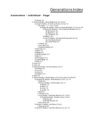Generations Index

#### **Generation - Individual - Page**

6. Almyra, 5.2 5. Horatio Hadley - Sarah Bullard (2), 4.4, 5.2, 6.2 6. Jesse F. Hadley - Anna M. Johnson, 5.3, 6.2, 7.2 7. W. Irving - —?—, 6.2, 7.2, 8.1 8. Robert W. Hadley - Florence Marie Bothwell, 7.2, 8.1, 9.1, 9.2 9. Robert W. Hadley Jr. - Alice Suzanne Bentley, 8.1, 9.1 10. Richard N., 9.1 10. Stephen J., 9.1 10. Caroline E., 9.1 9. William I., 8.1 9. John B. Hadley - Dorothy Ruth Reynolds, 8.1, 9.2 10. John Reynolds, 9.2 10. Judith Marie, 9.2 7. Jesse R., 6.2 7. Lucy Mae, 6.2 7. Frederick Waldo, 6.2 6. Marcelia, 5.3 6. Elvira, 5.3 6. Betsey, 5.3 6. Dexter Horatio, 5.3 6. Ella, 5.3 6. Emmagene, 5.3 6. Addah-Belle, 5.3 6. Ruth, 5.3 5. Laura, 4.4 5. John, 4.4 5. Lindal W. Hadley - Hannah Weed, 4.4, 5.4 6. Matilda, 5.4 6. Lucy, 5.4 6. John, 5.4 6. Adella S., 5.4 5. Alvin, 4.5 5. Truman Hadley - Harriet Upton, 4.4, 5.5, 6.3, 6.6, 6.7, 6.10-6.12 6. Marshall W. Hadley - Emily Wodell, 5.5, 6.3, 7.3, 7.4 7. Delle, 6.5 7. Truman Hadley - Violet Huskey, 6.5, 7.3 8. Albert, 7.3 8. Ethel, 7.3 8. John, 7.3 8. Lucille, 7.3 7. Bert, 6.5 7. Clarence, 6.5 7. Guy Hadley - Madaline Shearer, 6.5, 7.4, 8.2 8. Marshall Hadley - Merilyn Jones, 7.4, 8.2 9. Renee, 8.2 9. Renold Dwaine, 8.2 7. Edna Mae, 6.5 6. Merton F. Hadley - Ida Elmer, 5.5, 6.6 7. Raymond, 6.6 6. David R. Hadley - Julia May Stevens, 5.5, 6.7, 7.5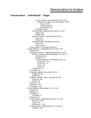### **Generation - Individual - Page**

7. Lee A. Hadley - Lulu Amelia Pohl, 6.9, 7.5, 8.3 8. Robert L. Hadley - Jane Alice Norris, 7.5, 8.3 9. Lou Ann, 8.3 9. Ruth Louise, 8.3 9. Lee Robert, 8.3 7. Rex Stevens, 6.9 6. Fred Hadley - Elizabeth Van Auken, 5.5, 6.10 7. Edna, 6.10 7. Ralph, 6.10 6. Edward Hadley - Della Harding, 5.6, 6.11 7. Lulu, 6.11 7. Flora, 6.11 6. Gilford Hadley - Ella Bonner, 5.6, 6.12 7. Ethel, 6.12 7. Howard, 6.12 5. Zela Hadley - Amy Ledia Ambler, 4.5 4. Jesse Hadley Jr. - Abigail Fletcher, 3.3, 4.6, 5.7-5.9 5. Zelona, 4.6 5. Nelson H. Hadley - Catherine Thomas4.6, 5.7, 6.13 6. Henry H. Hadley - Elizabeth Weltsie, 5.7, 6.13, 7.6 7. Gertrude, 6.13 7. Bert N., 6.13 7. Clarence Hadley - Dora Wasson, 6.13, 7.6 8. Claude A., 7.6 8. Verna M., 7.6 8. Iona, 7.6 8. Iola, 7.6 6. Willard H., 5.7 5. Amanda, 4.6 5. Hannibal Hadley - Mary Field, 4.6, 5.8 6. Elizabeth, 5.8 6. Emily, 5.8 5. William F. Hadley - Mary Carpenter, 4.6, 5.9 6. Alice M., 5.9 6. Ellen, 5.9 5. Alonzo F., 4.6 5. Marion N., 4.6 5. Augusta A., 4.6 4. Simon Hadley - Nabby Wilder, 3.3, 4.7, 5.10 5. Almira, 4.7 5. Betsey, 4.7 5. Orestus, 4.7 6. Orestus, 4.7 5. Edmund, 4.7 5. Albert Hadley - Elizabeth Flowers (1), 4.7, 5.10 6. Emma J., 5.10 6. Eva, 5.10 6. Edmund C., 5.10 5. Albert Hadley - Maria Wait (2), 4.7, 5.10, 6.14 6. Nellie J., 5.10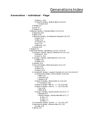#### **Generation - Individual - Page**

- 6. Simon J., 5.10
- 6. Frank M. Hadley Nellie B. Baker, 5.10, 6.14
- 7. H. Earle, 6.14
- 5. Melissa, 4.7
- 5. Jane, 4.7
- 5. Evalina, 4.7
- 4. Stephen Hadley Clairessa Wilder, 3.3, 4.9, 5.11
	- 5. Sylvanius, 4.10
	- 5. Sylvia, 4.10
	- 5. Sherman Hadley Ann Elizabeth Ingersoll, 4.10, 5.11
		- 6. Sarah, 5.11
			- 6. Ellen, 5.11
			- 6. Charles, 5.11
			- 6. Ida, 5.11
		- 6. Blanche, 5.11
	- 5. Daniel, 4.10
- 4. Abigail, 3.3
- 4. Ebenezer Hadley Sybil Bemis, 3.3, 4.11, 5.12-5.16
	- 5. George L. Hadley Sarah A. Wellman (1), 4.11, 5.12 6. Martha A., 5.12
		- 6. Sarah A., 5.12
	- 5. George L. Hadley Sallie Weast (2), 4.11, 5.12 6. Willie, 5.12
		- 6. Hattie, 5.12
	- 5. Adaline, 4.11
	- 5. Oscar W. Hadley Elvira Davenport, 4.11, 5.13
		- 6. Fred, 5.13
		- 6. Helen, 5.13
		- 6. Marion, 5.13
	- 5. Cornelius M. Hadley Jerusha Chandler (1), 4.11, 5.14, 6.15-6.17 6. Ambrose W. Hadley - Emma Holden, 5.14, 6.15
		- 7. Elsie, 6.15
		- 7. Howard, 6.15
		- 7. Zelvah, 6.15
		- 6. Edwin S. Hadley Elmira Smith (1), 5.14, 6.15 7. Cornelius S., 6.16
		- 6. Edwin S. Hadley Ellen H. —?— (2), 5.14, 6.16
		- 6. Edwin S. Hadley Alice R. —?— (3), 5.14, 6.16 7. Lee, 6.16
			- 7. Ethel, 6.16
		- 6. Frank C. Hadley Eudora Evertts, 5.14, 6.17, 7.7 7. Burdett, 6.17
			-
			- 7. Merton Hadley Martha Bremiller, 6.17, 7.7
				- 8. Alice, 7.7
				- 8. Alvin, 7.7 8. Arline, 7.7
	- 5. Cornelius M. Hadley Levinia —?— (2), 4.11, 5.14
	- 5. Ebenezer B. Hadley Miranda Hills, 4.11, 5.15
		- 6. Luella, 5.15
	- 5. Selma, 4.11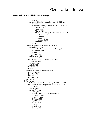### **Generation - Individual - Page**

5. Henry, 4.11 5. Horace H. Hadley - Sarah Thomas, 4.11, 5.16, 6.18 6. Samuel, 5.16 6. Warren H. Hadley - Orressa Howe, 5.16, 6.18, 7.8 7. Jessie, 6.18 7. Hazel, 6.18 7. Edna, 6.18 7. Horace W. Hadley - Gladys Worden, 6.18, 7.8 8. Maxene, 7.8 8. Merton L., 7.8 8. Virginia, 7.8 8. Warren F., 7.8 7. Kenneth W., 6.18 5. Lestina, 4.11 4. Elias Hadley - Sarah Duncan (1), 3.4, 4.12, 5.17 5. Martha Ann, 4.12 5. Jason D. Hadley - Eudora Woodard, 4.12, 5.17 6. Gertrude, 5.17 6. Jettien, 5.17 6. Carrie, 5.17 5. Charles R., 4.12 5. Jonas S., 4.12 4. Elias Hadley - Sphedey Wilder (2), 3.4, 4.12 5. Sarah M., 4.12 5. Precilla, 4.12 5. Emily, 4.12 4. Cornelius, 3.4 4. Betsey, 3.4 3. Ebenezer Hadley - Jemima —?—, 3.10, 3.5 4. Ebenezer Jr., 3.5 4. Jonathan, 3.5 4. Levi, 3.5 4. Benjamin, 3.5 3. Abigail, 2.10 3. Martha, 2.10 3. Jacob Hadley - Molly (Polly) Rice, 2.10, 3.6, 4.13, 4.15-4.17 4. Rev. Jacob Hadley - Abigail Rice (1), 3.6, 4.13, 5.18-5.20 5. Addison, 4.13 5. Arvilla, 4.13 5. Mary Ann, 4.13 5. Jerome, 4.13 5. Jacob Hadley Jr. - Adeline Hadley (1), 4.14, 5.18 6. Everett E., 5.18 6. Andrew, 5.18 6. Daniel, 5.18 6. Jennie, 5.18 6. Clara, 5.18 6. Arthur, 5.18 6. Nellie, 5.18 6. Alice, 5.18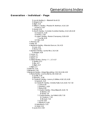### **Generation - Individual - Page**

- 5. Jacob Hadley Jr. Elizabeth Scott (2)
- 5. Abigail, 4.14
- 5. Elijah, 4.14
- 5. William L. Hadley Phoebe M. Herriman, 4.14, 5.19 6. Ada S., 5.19
- 5. Daniel, 4.14
- 5. Abel R. Hadley Cornelia (Caroline) Hadley, 4.14, 5.20, 6.19
	- 6. Clayton E., 5.20
	- 6. Frank A., 5.20
	- 6. Jesse F. Hadley Marion Champney, 5.20, 6.19 7. Lucille, 6.19
	- 6. F. Reo, 5.20
- 4. Thomas, 3.6
- 4. Polly, 3.6
	-
- 4. Benjamin Hadley Miranda Duncan, 3.6, 4.15
	- 5. June, 4.15
	- 5. Henry, 4.15
- 4. Ephriam Hadley Lavina Rice, 3.6, 4.16 5. Adaline, 4.16
- 4. Laura, 3.7
- 4. Luther, 3.7
- 4. Sylvia, 3.7
- 4. Alfred Hadley Fanny—?—, 3.7, 4.17
	- 5. Vertine, 4.17
	- 5. Ella, 4.17
	- 5. Elijah, 4.17
- 4. Elijah, 3.7
- 3. Susanna, 2.10
- 3. Benjamin, 2.10
- 3. Benjamin Hadley Abigail Spaulding, 2.10, 3.8, 4.18, 4.19
	- 4. Rufus Hadley Joanna Bemis, 3.8, 4.18, 5.21
		- 5. Lourilla, 4.18
		- 5. Edward L., 4.18
		- 5. Charles N. Hadley Lorancy S. Wilder, 4.18, 5.21, 6.20
			- 6. Agnes E., 5.21
				- 6. Charles M. Hadley Arnetta Fuller, 5.21, 6.20, 7.9, 7.10
					- 7. Clark, 6.20
					- 7. Dorothy L., 6.20
					- 7. Rufus, 6.20
					- 7. Clayton Hadley Mary Ellsworth, 6.20, 7.9
						- 8. Warren, 7.9
						- 8. David, 7.9
					- 7. Charles Hadley Iva Follett, 6.20, 7.10
						- 8. Charles Jr., 7.10
						- 8. Richard, 7.10
					- 7. Lucile, 6.20
					- 7. Warren H., 6.20
			- 6. Valentine N., 5.21
			- 6. Violet, 5.21
		- 5. Laura Ann, 4.18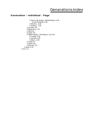## **Generation - Individual - Page**

5. Horace W. Hadley - Sedelia Boleyn, 4.18 6. Lulu Maebelle, 4.18 5. Warren J., 4.18 5. Evaline J., 4.18 4. Lucinda, 3.8 4. Benjamin Jr., 3.8 4. Sybil, 3.8 4. Alvira, 3.8 4. Wilson Hadley - Olive Bryant, 3.8, 4.19 5. Clarissa, 4.19 5. George, 4.19 5. Ellen L., 4.19 4. Lewis, 3.9 4. Luther, 3.9 4. Edmund, 3.9 3. Sarah, 2.10 2. Ann, 1.2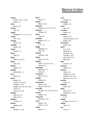**Adams** Fannie, 4.4, 5.1, 5.20 Sarah, 1.2 **Allen** Byron, 5.17 **Ambler** Amy, 4.5 **Applin** Mehitable, 1.1, 2.1, 2.3, 2.5 **Ashley** M.H., 5.15 **Atridge** Oscar, 4.10 **Attridge** Daniel, 3.8 **Augier** Samuel, 1.1 **Baird** Polly, 5.2 **Baker** Nellie, 5.10, 6.14 **Balch** Carl, 6.10 **Barrett** William, 3.8 **Bartlett** Bethsheba, 1.1 **Bate** Oliver, 2.3 **Bemis** Betsey, 3.8 Joanna, 4.18, 5.21 Joseph Jr., 4.11 Joseph, 3.3, 3.8, 4.11, 4.18, 5.12-5.16 Joshua, 3.5, 3.8 **Bentley** Alice, 8.1, 9.1 Neil, 8.1, 9.1 **Bigelow** Timothy, 2.9 **Boleyn** Sedelia, 4.18 **Bond** George J., 4.19

**Bond** Henry, 1.1 **Bonner** Ella, 5.6, 6.12 **Bothwell** Florence, 7.2, 8.1, 9.1, 9.2 **Bowman** Phineas, 2.9 **Boyd** Fred, 5.3 **Bremiller** Martha, 6.17, 7.7 **Bridges** C. H., 2.9 **Briggs** Elizabeth, 3.4 Seth, 3.4 **Brueser** Leonard, 6.18 **Bryant** Olive, 3.8, 4.19 **Bullard** Sarah, 3.7,4.4, 5.2, 6.2 Simeon, 5.2 **Butterfield** Benjamin, 2.5 Ezra, 2.10 **Carpenter** Mary, 4.6, 5.9 **Chaflin** Mabel, 6.6 **Champney** Almon, 6.19 Marion, 5.20, 6.19 **Chandler** Jerusha, 4.11, 5.14, 6.15-6.17 **Chapin** Josiah, 4.13 **Christman** Maryetta, 5.18 **Clark** Harriet, 4.18 Lillian, 7.5, 8.3 **Coffin** Myron, 7.3

**Cole** Orland, 5.3 **Constable** William, 4.9 **Cook** Joe, 5.19 **Crandall** Floyd, 6.11 **Cronkite** Arthur, 6.19 LaVerne (Larry), 6.19 Roger, 6.19 **Davenport** Elvira, 5.13 **Davis** C.H., 5.18 Edward, 5.1 Freeman, 6.8 George L., 6.8 John, 4.12, 5.17 Ray, 6.20 **Dike** Colonel, 2.3 **Dummer** William, 1.4 **Duncan** Jason, 4.12 Joseph, 3.6, 4.15 Miranda, 3.6, 4.15 Sarah, 3.4, 4.5, 4.12 **Dunkler** Anna, 4.3 **Ellsworth** Mary, 6.20 **Elmer** Ida, 5.5, 6.6 Theodore, 5.5, 6.6 **Emerson** F., 5.8 **Evertts** Eudora, 5.14, 6.17, 7.7 **Failing** Peter, 5.2 **Farr** Levy, 2.3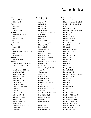**Field** David, 4.6, 5.8 Mary, 4.6, 5.8 **Fiske** David, 2.2 **Fletcher** Willard, 2.10 **Flowers** Elizabeth, 4.7, 5.10 **Follett** Iva, 6.20, 7.10 **Frary** Henrietta, 6.19 **Frost** Jesse, 2.5 **Fuller** Arnetta, 5.21, 6.20, 7.9, 7.10 **Gerow** Chadwick, 6.8 **Gifford** Ella May, 6.18 **Hadley** Abel R., 4.13, 5.1, 5.20, 6.19 Abigail, 2.10, 3.3, 4.13 Ada S., 5.19 Adaline, 4.14, 4.16, 5.18 Adaline L., 4.11 Addah-Belle, 5.3 Addison C., 4.13 Adella, 5.4 Admatha, 5.1, 6.1, 7.1 Agnes E., 5.21 Albert, 4.7, 5.10, 6.14, 7.3 Alfred, 3.7, 4.4, 4.17 Alice, 5.18, 7.7 Alice M., 5.9 Almira, 4.7, 6.1 Almyra, 3.7, 5.2 Alonzo F., 4.6, 5.9 Alvin, 4.5, 7.7 Alvira (Elvira), 3.8 Amanda, 4.6 Ambrose W., 5.14, 6.15 Amos, 2.4 Andrew, 5.18

**Hadley (cont'd)** Ann, 1.2 Arlene, 7.7 Arthur, 5.18 Arvilla, 4.13 Augustus, 4.6 Benjamin, Intro.1, 1.1, 1.2, 2.1, 2.3-2.5, 2.10, 3.5, 3.6, 3.8, 4.15, 4.18, 4.19 Benjamin Jr., 3.8 Bert, 6.5 Bert N., 6.13 Betsey, 3.4, 4.7, 5.3 Blanche, 5.11 Burdett, 6.17 Caroline E., 9.1 Carrie, 5.17 Charles, 5.11, 6.20, 7.10 Charles Jr., 7.10 Charles M. (Cassius M.), 5.21, 6.20, 7.9, 7.10 Charles N., 4.18, 5.21, 6.20 Charles R., 4.12 Clara, 5.18 Clarence, 6.5, 6.13, 7.6 Claret, 5.1 Clarissa, 4.19 Clark, 6.20 Claude A., 7.6 Clayton, 6.20, 7.9 Clayton E., 5.20 Cornelia (Caroline), 4.14, 5.1, 5.20, 6.19 Cornelius, 3.4 Cornelius M., 4.11, 5.14, 6.15-6.17 Cornelius S. (Neil S.), 6.16 Daniel (David), 5.18 Daniel, 4.10, 4.13 David, 7.9 David Randolph, 5.5, 6.7, 7.5 Delle, 6.3, 6.5 Dennis, Intro.3 Dexter Horatio, 5.3

**Hadley (cont'd)** Dorothy l., 6.20 Ebenezer, 1.2, 2.1, 2.5, 2.10, 3.1, 3.3-3.6, 3.8, 4.11, 5.12- 5.16 Ebenezer Jr., 3.5 Ebenezer Bemis, 4.11, 5.15 Edmund, 3.9, 4.7 Edmund C., 5.10 Edna, 6.10, 6.18 Edward, 5.6, 6.11 Edward L., 4.18 Edwin S. (Edward), 4.11, 5.14, 6.16 Eleazor, 1.3 Elias, 3.4, 4.12, 5.17 Elijah, 3.7, 4.13, 4.17 Eliza, 4.4 Elizabeth, 2.1, 5.8 Ella, 4.17, 5.3 Ellen, 5.9, 5.11 Ellen L., 4.19 Elsie, 6.15 Elvira, 5.3 Emily, 4.12, 5.8 Emma J., 5.10 Emmagene, 5.3 Ephraim, 3.6, 4.14, 4.16, 5.18 Ethel, 6.12, 6.16, 7.3 Eunice, 2.3 Eva, 5.10 Evaline, 4.7 Evaline J., 4.18 Everett Ernest, 5.18 F. Reo, 5.20 Flora, 6.11 Frank A., 5.20 Frank C., 5.14, 6.17, 7.7 Frank M., 5.10, 6.14 Fred, 5.5, 5.13, 6.10 Frederick Waldo, 6.2 George, Intro.2, 4.19 George Lewis, 4.11, 5.12 Gertrude, 5.17, 6.13 Gillford, 5.6, 6.12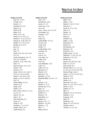#### **Hadley (cont'd)** Guy, 6.5, 7.4, 8.2 H. Earle, 6.14 Hanah, 1.2 Hannibal, 4.6, 5.8 Hattie, 5.12 Hazel, 6.18 Helen, 5.13 Henry, 4.11, 4.15 Henry H., 5.7, 6.13, 7.6 Horace H., 4.11, 5.16, 6.17 Horace W., 4.18, 6.18, 7.8 Horatio, 3.7, 4.4, 5.2, 6.2 Howard, 6.12, 6.15 Ida, 5.11 Iola, 7.6 Iona, 7.6 Jacob, 2.10, 3.6, 4.13, 4.15- 4.17, 5.2 Jacob, Reverend, 3.6, 3.7, 4.13, 5.2, 5.18-5.20 Jacob Jr., 4.14, 4.16, 5.18 Jane, 4.7 Jason Duncan, 4.12, 5.17 Jennie, 5.18 Jerome, 4.13 Jesse, 2.10, 3.1, 4.1, 4.6, 4.7, 4.9, 4.11, 4.12, 5.3, 5.20 Jesse Jr., 3.3, 4.6, 5.7-5.9 Jesse F., 4.4, 5.1, 5.20, 6.1, 6.19, 7.2 Jesse Failing, 5.3, 6.2 Jesse R., 6.2 Jessie, 6.18 Jettien, 5.17 John, Intro.2, Intro.3, 1.2, 2.2, 2.3, 4.4, 7.3 John B., 9.1, 9.2 John F., 5.4 John Reynolds, 9.2 Jonas, 2.3

Jonas S., 4.12

Jonathan, 1.1, 2.3, 3.5 Joseph, Intro.3, 2.3 Judith Marie, 9.2

#### **Hadley (cont'd)**

June, 4.15 Kenneth W., 6.18 Laura, 3.7, 4.4 Laura Ann, 4.18 Lee, 6.16 Lee A., Intro.1, 6.9, 7.5, 8.3 Lee Robert, 8.3 Lestina S., 4.11 Levi, 3.5 Lewis, 3.9 Lindal Wilder, 4.4, 5.4 Lou Ann, 8.3 Lucile, 6.20 Lucille, 7.3 Lucille Esther, 6.19 Lucinda, 3.8 Lucy, 2.3 Lucy A., 5.4 Lucy Mae, 6.2 Luella, 5.15 Lulu, 6.11 Lulu Maebelle, 4.18 Luther, 3.7 Luthur, 3.9, 4.4 Marcelia, 5.3 Marion, 5.13 Marion N., 4.6 Marshall, 7.4, 8.2 Marshall Wilder, 5.5, 6.3, 7.3, 7.4 Martha, 2.10 Martha A., 5.12 Martha Ann, 4.12 Mary, 2.2 Mary Ann, 4.13 Matilda, 5.4 Maxene, 7.8 Mehitable, 1.2 Melissa, 4.7 Merton, 6.17, 7.7 Merton F., 5.5, 6.6 Merton L., 7.8 Milo, 7.1 Moses, Intro.2

#### **Hadley (cont'd)** Nellie, 5.18 Nellie J., 5.10 Nelson H., 4.6, 5.7, 6.13 Orestus, 4.7 Oscar W., 4.11, 5.13 Peter, 2.3 Phebe, 1.2 Pitt, 6.1, 7.1 Polly, 3.6 Precilla, 4.12 Ralph J., 6.10 Raymond, 6.6 Renee, 8.2 Rex Stevens, 6.9 Richard, 7.10 Richard N., 9.1 Robert Lewis, 7.5, 8.3 Robert W., 7.2, 8.1, 9.1, 9.2 Robert W. Jr., 8.1, 9.1 Renold, 8.2 Rufus, 3.8, 4.18, 5.21, 6.20 Ruth, 2.1, 2.3, 5.3 Ruth Louise, 8.3 Samuel, Intro.3, 1.1, 2.1, 3.3, 4.1, 4.4, 5.1, 5.2, 5.4, 5.5, 5.16 Samuel Page, Intro.2 Sarah, 1.2, 2.2, 2.3, 2.10, 5.11 Sarah A., 5.12 Sarah M., 4.12 Selma, 4.11 Sherman, 4.10, 5.11 Simon, 1.2, 2.1, 3.3, 4.7, 5.10 Simon J., 5.10 Sophia, 3.7, 4.4 Starr, 7.1 Stephen, 3.3, 4.4, 4.9, 5.10 Stephen J., 9.1 Susanna, 2.10 Sybil, 3.8 Sylvanius, 4.10 Sylvia, 3.7, 4.4, 4.10, 5.2 Tabitha, Intro.3 Thomas, 1.2, 2.1, 3.6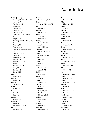**Hadley (cont'd)** Truman, 4.5, 5.5, 6.3, 6.5-6.7, 6.10-6.12, 7.3 Tryphena, 2.3 Unice, 2.3 Valentine N., 5.21 Verna M., 7.6 Vertina, 4.17 Violet (Laura) ("Birdie"), 5.21 Virginia, 7.8 W. Irving, Intro.1, 4.2, 6.2, 7.2, 8.1 Warren, 7.9 Warren F., 7.8 Warren H., 5.16, 6.18, 6.20, 7.8 Warren J., 4.18 Willard H., 5.7 William F., 4.6, 5.9 William I., 8.1 William L., 4.13, 5.19 Willie, 5.12 Wilson, 3.8, 4.19 Zela, 4.5 Zelona, 4.6 Zelva, 6.15 **Hale** Caleb, 5.3 **Harding** Della, 5.6, 6.11 **Harding** Thomas, 5.6, 6.11 **Harris** Horace, 4.7 **Hawes** Daniel, 4.1 Lois, 4.1 **Healey** James, 2.10 **Herriman** Emory, 4.7 Phoebe, 4.13, 5.19 **Hills** Miranda, 4.11, 5.15

**Holden** Emma, 5.14, 6.15 **Howe** Oressa, 5.16, 6.18, 7.8 **Hoyt** Russell, 5.21 **Hughey** Edna, 6.16 **Hunter** A.E., 4.5 Beatrice, 6.20 **Huskey** Violet, 6.3, 7.3 **Ingersoll** Ann, 4.10, 5.11 **Johnson** Anna, 5.3, 6.2, 7.2 **Jones** Merilyn, 7.4, 8.2 **Keller** Elva, 7.5 **Kemp** Ruth, 2.3 **Klock** Hendrick, 7.5 John J., 7.5 **Knollin** Eva, 5.20 **Koder** Joseph, 6.18 **Lamb** James, 5.3 **Lashure** Chloe, 5.17 **Lawrence** Ruth, 1.2, 2.1 **Lindmuth** Florence, 6.10 **Lindsay** Charles, 5.17 W.G., 5.17 **McKee** Evaline, 5.20 **Merriam** Ebenezer, 1.2

**Merrick** Hannah, 3.4 **Miller** Blanche, 6.20 **Minot** John, 2.3 **Mitchell** Mattie, 6.20 **Moore** Frank, 2.7 **Munro** Edmund, 2.7 **Newcome** Orpha, 6.1, 7.1 **Newton** Ellen, 5.1, 6.1, 7.1 **Nichols** Leon, 6.11 **Norris** Frank, 7.5, 8.3 **Norris** Jane Alice, 7.5, 8.3 **O'Glivie** Wallace, 4.19 **Otto** Wesley, 5.2 **Page** Rebecca, Intro.2 **Palmer** Lavina, 4.13 **Parker** Captain, 2.1, 2.3 **Parsons** Marie, 4.10 **Peck** Clarence, 5.19 Frances, 5.19 **Pendlebury** Robert, 6.11 **Perham** Mary, 4.6 **Pierce** Susanna, 2.5 **Pierrepont** H.B., 4.9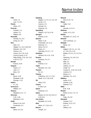**Pohl** Lewis, 7.5 Lulu, 7.5, 8.3 **Prentis** Arthur, 5.3 **Prescott** Azabah, 2.3 James, 2.3 William, 6.8 **Reynolds** Dorothy, 8.1, 9.2 Irving, 8.1, 9.2 **Rice** Abel, 3.6 Abigail, 3.1, 3.6, 5.18-5.20 Ephraim, 3.6, 4.16 Joanna, 3.6 Lavina, 3.6, 4.13, 4.16 Lavina (Laura), 4.13 Molly (Polly), 2.10, 3.6, 4.13, 4.15-4.17, 5.2 **Russett** Francis, 6.20 **Sargent** Calvin, 3.7 John, 2.7 Mary, 3.6 **Scott** Byron, 5.18 Elizabeth, 5.18 George, 4.13 **Sellick** G., 5.8 **Severance** William, 4.4 **Shearer** Madeline, 6.3, 7.4 **Sherman** C.W., 4.18 Ebenezer, 5.13 **Smith** Elmira, 5.14, 6.16 Ferdinand, 6.1 **Snyder** Marie, 5.5, 6.6

**Spalding** Abigail, 1.2, 2.5, 3.1, 3.5, 3.6 Jacob, 2.5 Joanna, 2.5 Samuel, 2.5 Susanna, 2.5 **Spaulding** Abigail, 2.10, 3.8, 4.19 **Sprague** Andrew, 5.10 **Stevens** Albert, 5.10 Antoinette, 5.6, 6.11 Edmund, 4.7 Henry, 5.5, 6.7 Hiram, 4.7 Julia May, 5.5, 6.7, 7.5 **Stoddard** Jemima, 3.8, 4.11, 4.18 **Streeter** Caroline, 5.5, 6.7 **Studley** Andrew, 4.11 **Taylor** Miranda, 3.6, 4.15 **Thacker** Dr., 5.2 **Thomas** Catherine, 4.6, 5.7, 6.13 Sarah, 4.11, 5.16, 6.18 **Tift** Harry, 6.12 **Travers** A. Erle, 5.21 **Upson** Ambrose, 4.6 **Upton** Harriet, 4.5, 5.5, 6.3, 6.6, 6.7, 6.10-6.12 **Van Auken** Elizabeth, 5.5, 6.10 **Wait** Maria, 4.7, 5.10, 6.14 **Warren** Joseph, 2.3

**Wasson** Dora, 6.13, 7.6 **Weast** Sallie, 5.12 **Weed** Hannah, 4.4, 5.4 **Wellman** Sarah, 4.11, 5.12 **Weltsie** Elizabeth, 5.7, 6.13, 7.6 **Wheeler** John (Joshua), 1.2 **Whipple** Maria, 3.9 **Wilder** Abigail, 2.10, 3.1, 4.1, 4.6, 4.7, 4.9, 4.11, 4.12 Betsey, 3.3, 4.1, 5.1, 5.2, 5.4, 5.5 Clairessa, 3.3, 4.9, 5.11 Clark, 4.7 Elias, 3.1 John, 3.6 Joshua, 3.1, 4.1 Lindal, 3.4 Lorancy S., 4.18, 5.21, 6.20 Lorenzo, 5.4 Moses, 4.1 Sphedey, 3.4, 4.12 **Williams** Audra, 6.12 Charles, 6.16 Edward, 5.17 **Wiltie** E.M., 4.18 **Wodell** Emily, 5.5, 6.3, 7.3, 7.4 **Wood** Patty, 4.6, 5.8 **Woodard** Charles, 5.17 Eudora, 4.12, 5.17 Levi, 4.7 Sidney, 4.12